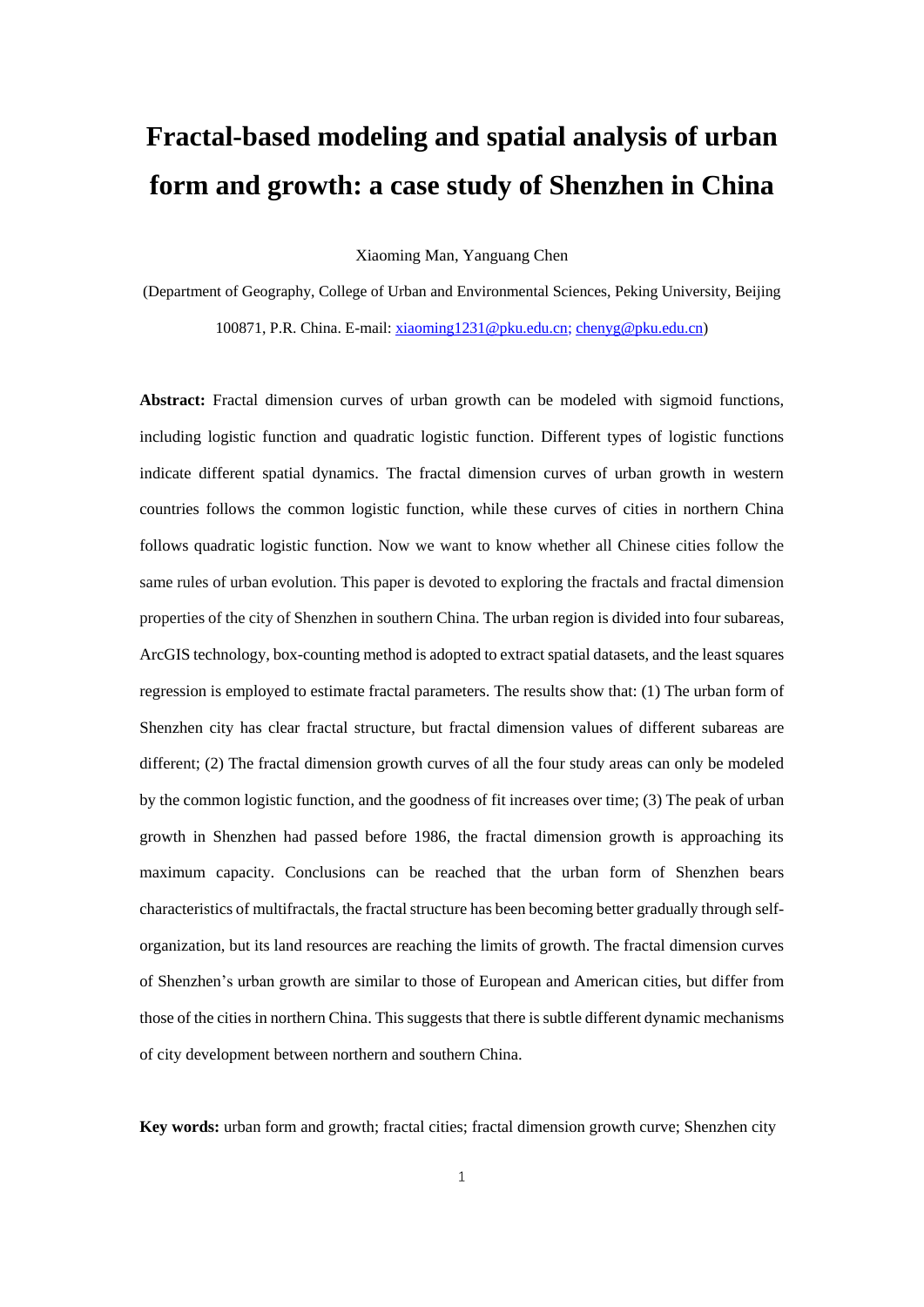# **Fractal-based modeling and spatial analysis of urban form and growth: a case study of Shenzhen in China**

Xiaoming Man, Yanguang Chen

(Department of Geography, College of Urban and Environmental Sciences, Peking University, Beijing 100871, P.R. China. E-mail: [xiaoming1231@pku.edu.cn;](mailto:xiaoming1231@pku.edu.cn) [chenyg@pku.edu.cn\)](mailto:chenyg@pku.edu.cn)

**Abstract:** Fractal dimension curves of urban growth can be modeled with sigmoid functions, including logistic function and quadratic logistic function. Different types of logistic functions indicate different spatial dynamics. The fractal dimension curves of urban growth in western countries follows the common logistic function, while these curves of cities in northern China follows quadratic logistic function. Now we want to know whether all Chinese cities follow the same rules of urban evolution. This paper is devoted to exploring the fractals and fractal dimension properties of the city of Shenzhen in southern China. The urban region is divided into four subareas, ArcGIS technology, box-counting method is adopted to extract spatial datasets, and the least squares regression is employed to estimate fractal parameters. The results show that: (1) The urban form of Shenzhen city has clear fractal structure, but fractal dimension values of different subareas are different; (2) The fractal dimension growth curves of all the four study areas can only be modeled by the common logistic function, and the goodness of fit increases over time; (3) The peak of urban growth in Shenzhen had passed before 1986, the fractal dimension growth is approaching its maximum capacity. Conclusions can be reached that the urban form of Shenzhen bears characteristics of multifractals, the fractal structure has been becoming better gradually through selforganization, but its land resources are reaching the limits of growth. The fractal dimension curves of Shenzhen's urban growth are similar to those of European and American cities, but differ from those of the cities in northern China. This suggests that there is subtle different dynamic mechanisms of city development between northern and southern China.

**Key words:** urban form and growth; fractal cities; fractal dimension growth curve; Shenzhen city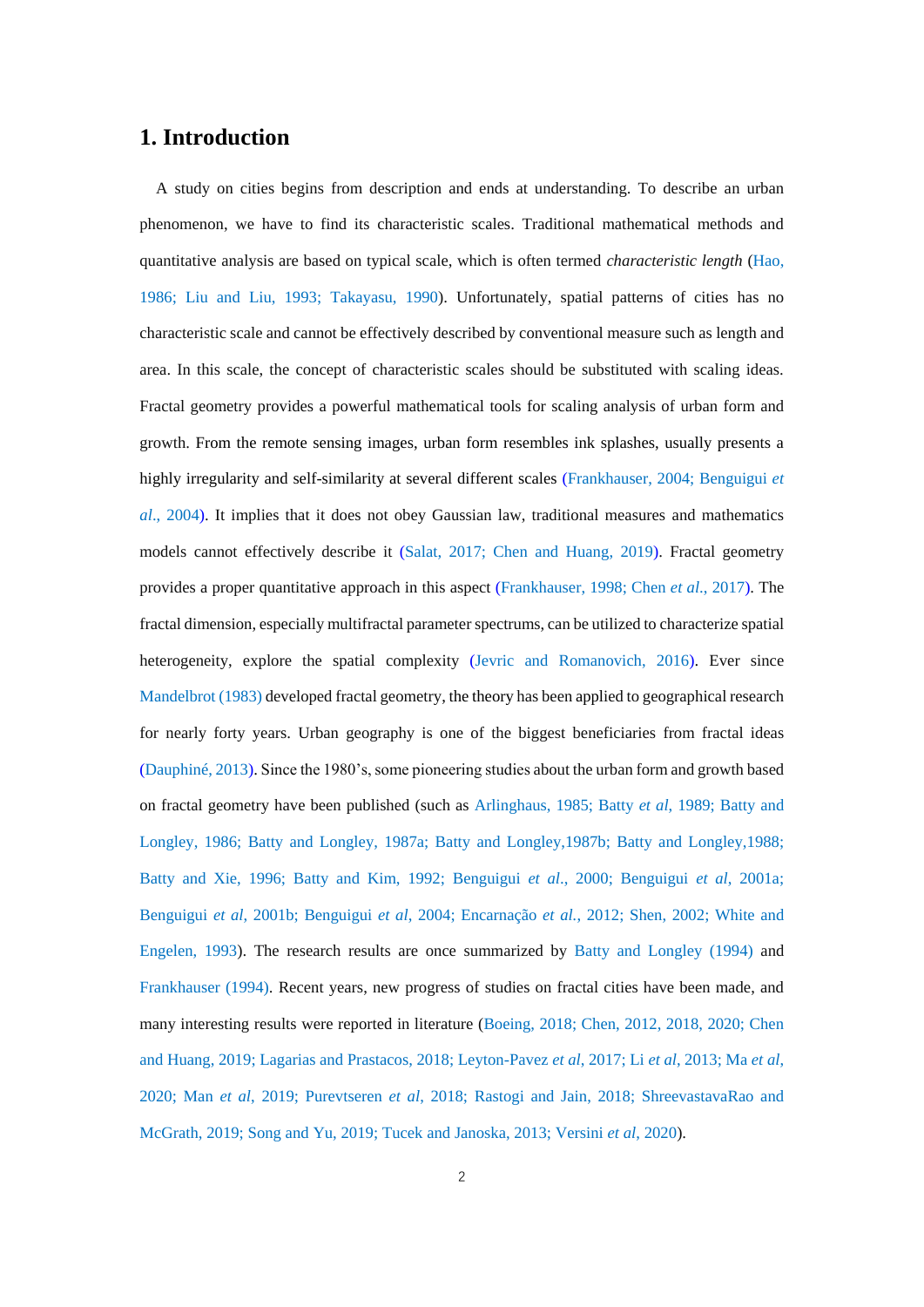#### **1. Introduction**

A study on cities begins from description and ends at understanding. To describe an urban phenomenon, we have to find its characteristic scales. Traditional mathematical methods and quantitative analysis are based on typical scale, which is often termed *characteristic length* (Hao, 1986; Liu and Liu, 1993; Takayasu, 1990). Unfortunately, spatial patterns of cities has no characteristic scale and cannot be effectively described by conventional measure such as length and area. In this scale, the concept of characteristic scales should be substituted with scaling ideas. Fractal geometry provides a powerful mathematical tools for scaling analysis of urban form and growth. From the remote sensing images, urban form resembles ink splashes, usually presents a highly irregularity and self-similarity at several different scales (Frankhauser, 2004; Benguigui *et al*., 2004). It implies that it does not obey Gaussian law, traditional measures and mathematics models cannot effectively describe it (Salat, 2017; Chen and Huang, 2019). Fractal geometry provides a proper quantitative approach in this aspect (Frankhauser, 1998; Chen *et al*., 2017). The fractal dimension, especially multifractal parameter spectrums, can be utilized to characterize spatial heterogeneity, explore the spatial complexity (Jevric and Romanovich, 2016). Ever since Mandelbrot (1983) developed fractal geometry, the theory has been applied to geographical research for nearly forty years. Urban geography is one of the biggest beneficiaries from fractal ideas (Dauphiné, 2013). Since the 1980's, some pioneering studies about the urban form and growth based on fractal geometry have been published (such as Arlinghaus, 1985; Batty *et al*, 1989; Batty and Longley, 1986; Batty and Longley, 1987a; Batty and Longley,1987b; Batty and Longley,1988; Batty and Xie, 1996; Batty and Kim, 1992; Benguigui *et al*., 2000; Benguigui *et al*, 2001a; Benguigui *et al*, 2001b; Benguigui *et al*, 2004; Encarnação *et al.*, 2012; Shen, 2002; White and Engelen, 1993). The research results are once summarized by Batty and Longley (1994) and Frankhauser (1994). Recent years, new progress of studies on fractal cities have been made, and many interesting results were reported in literature (Boeing, 2018; Chen, 2012, 2018, 2020; Chen and Huang, 2019; Lagarias and Prastacos, 2018; Leyton-Pavez *et al*, 2017; Li *et al*, 2013; Ma *et al*, 2020; Man *et al*, 2019; Purevtseren *et al*, 2018; Rastogi and Jain, 2018; ShreevastavaRao and McGrath, 2019; Song and Yu, 2019; Tucek and Janoska, 2013; Versini *et al*, 2020).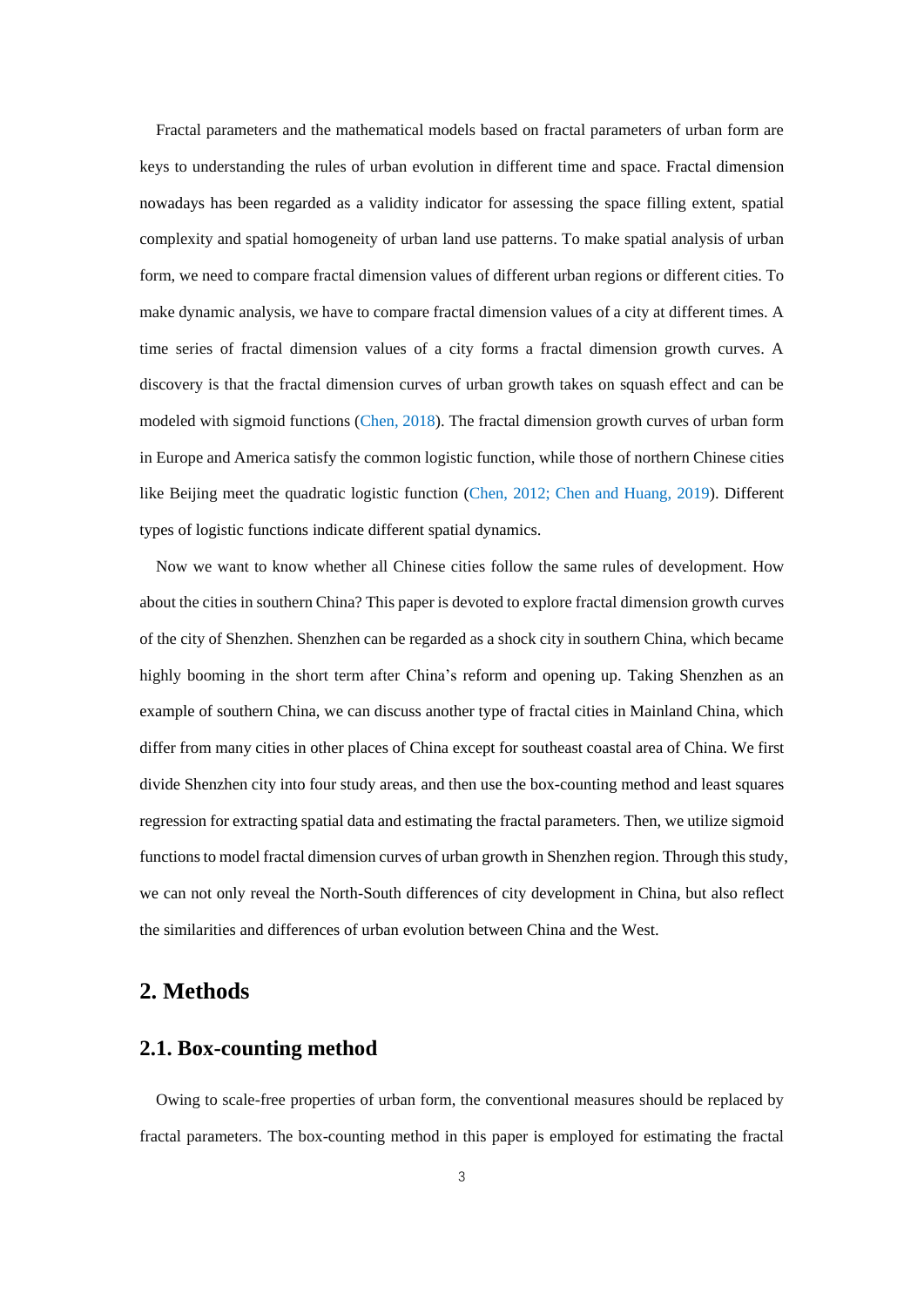Fractal parameters and the mathematical models based on fractal parameters of urban form are keys to understanding the rules of urban evolution in different time and space. Fractal dimension nowadays has been regarded as a validity indicator for assessing the space filling extent, spatial complexity and spatial homogeneity of urban land use patterns. To make spatial analysis of urban form, we need to compare fractal dimension values of different urban regions or different cities. To make dynamic analysis, we have to compare fractal dimension values of a city at different times. A time series of fractal dimension values of a city forms a fractal dimension growth curves. A discovery is that the fractal dimension curves of urban growth takes on squash effect and can be modeled with sigmoid functions (Chen, 2018). The fractal dimension growth curves of urban form in Europe and America satisfy the common logistic function, while those of northern Chinese cities like Beijing meet the quadratic logistic function (Chen, 2012; Chen and Huang, 2019). Different types of logistic functions indicate different spatial dynamics.

Now we want to know whether all Chinese cities follow the same rules of development. How about the cities in southern China? This paper is devoted to explore fractal dimension growth curves of the city of Shenzhen. Shenzhen can be regarded as a shock city in southern China, which became highly booming in the short term after China's reform and opening up. Taking Shenzhen as an example of southern China, we can discuss another type of fractal cities in Mainland China, which differ from many cities in other places of China except for southeast coastal area of China. We first divide Shenzhen city into four study areas, and then use the box-counting method and least squares regression for extracting spatial data and estimating the fractal parameters. Then, we utilize sigmoid functions to model fractal dimension curves of urban growth in Shenzhen region. Through this study, we can not only reveal the North-South differences of city development in China, but also reflect the similarities and differences of urban evolution between China and the West.

#### **2. Methods**

#### **2.1. Box-counting method**

Owing to scale-free properties of urban form, the conventional measures should be replaced by fractal parameters. The box-counting method in this paper is employed for estimating the fractal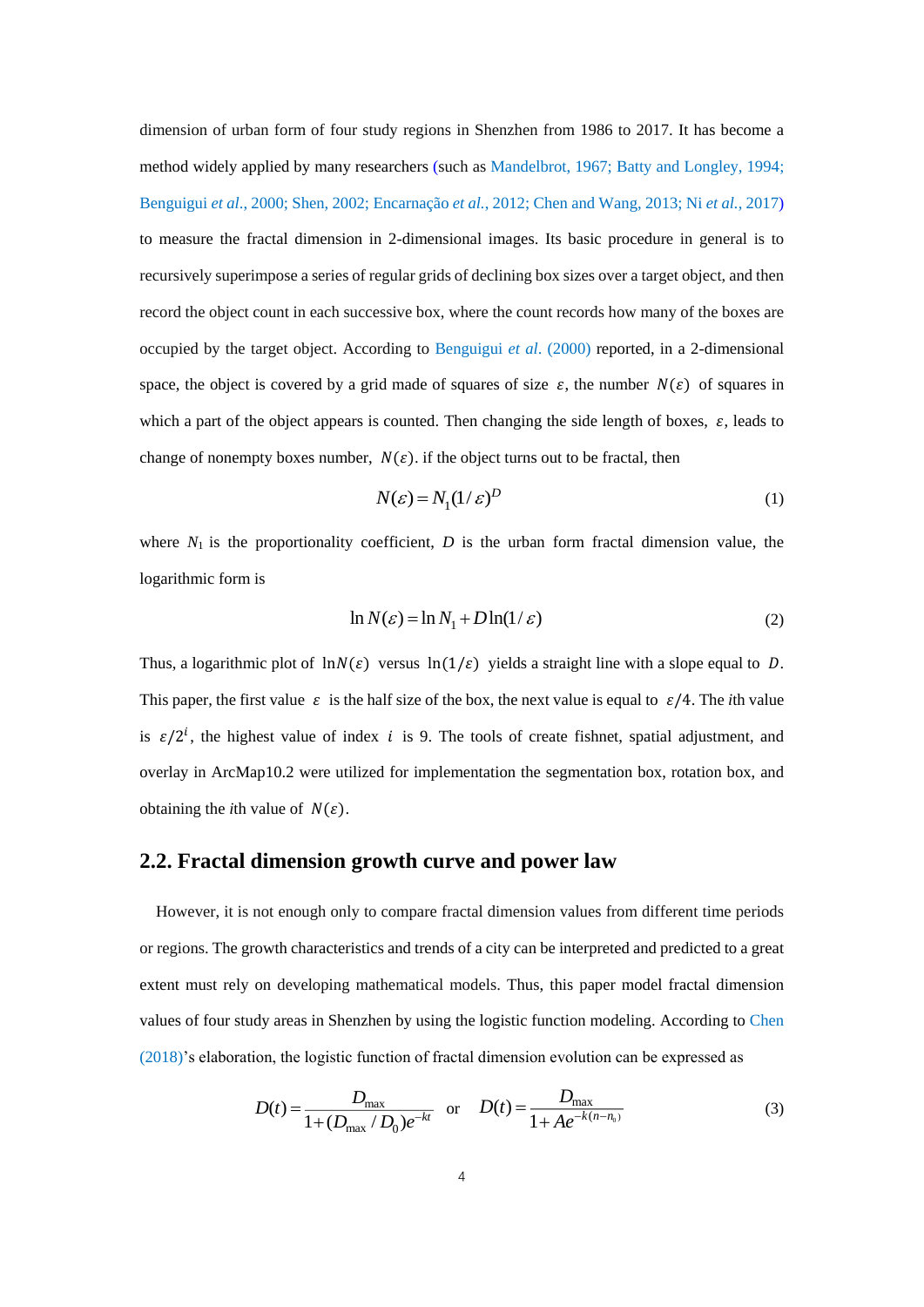dimension of urban form of four study regions in Shenzhen from 1986 to 2017. It has become a method widely applied by many researchers (such as Mandelbrot, 1967; Batty and Longley, 1994; Benguigui *et al*., 2000; Shen, 2002; Encarnação *et al.*, 2012; Chen and Wang, 2013; Ni *et al.*, 2017) to measure the fractal dimension in 2-dimensional images. Its basic procedure in general is to recursively superimpose a series of regular grids of declining box sizes over a target object, and then record the object count in each successive box, where the count records how many of the boxes are occupied by the target object. According to Benguigui *et al*. (2000) reported, in a 2-dimensional space, the object is covered by a grid made of squares of size  $\varepsilon$ , the number  $N(\varepsilon)$  of squares in which a part of the object appears is counted. Then changing the side length of boxes,  $\varepsilon$ , leads to change of nonempty boxes number,  $N(\varepsilon)$ . if the object turns out to be fractal, then

$$
N(\varepsilon) = N_1 (1/\varepsilon)^D \tag{1}
$$

where  $N_1$  is the proportionality coefficient,  $D$  is the urban form fractal dimension value, the logarithmic form is

$$
\ln N(\varepsilon) = \ln N_1 + D \ln(1/\varepsilon) \tag{2}
$$

Thus, a logarithmic plot of  $\ln N(\varepsilon)$  versus  $\ln(1/\varepsilon)$  yields a straight line with a slope equal to D. This paper, the first value  $\varepsilon$  is the half size of the box, the next value is equal to  $\varepsilon/4$ . The *i*th value is  $\varepsilon/2^i$ , the highest value of index *i* is 9. The tools of create fishnet, spatial adjustment, and overlay in ArcMap10.2 were utilized for implementation the segmentation box, rotation box, and obtaining the *i*th value of  $N(\varepsilon)$ .

#### **2.2. Fractal dimension growth curve and power law**

However, it is not enough only to compare fractal dimension values from different time periods or regions. The growth characteristics and trends of a city can be interpreted and predicted to a great extent must rely on developing mathematical models. Thus, this paper model fractal dimension values of four study areas in Shenzhen by using the logistic function modeling. According to Chen (2018)'s elaboration, the logistic function of fractal dimension evolution can be expressed as

$$
D(t) = \frac{D_{\text{max}}}{1 + (D_{\text{max}} / D_0)e^{-kt}} \quad \text{or} \quad D(t) = \frac{D_{\text{max}}}{1 + Ae^{-k(n - n_0)}}
$$
(3)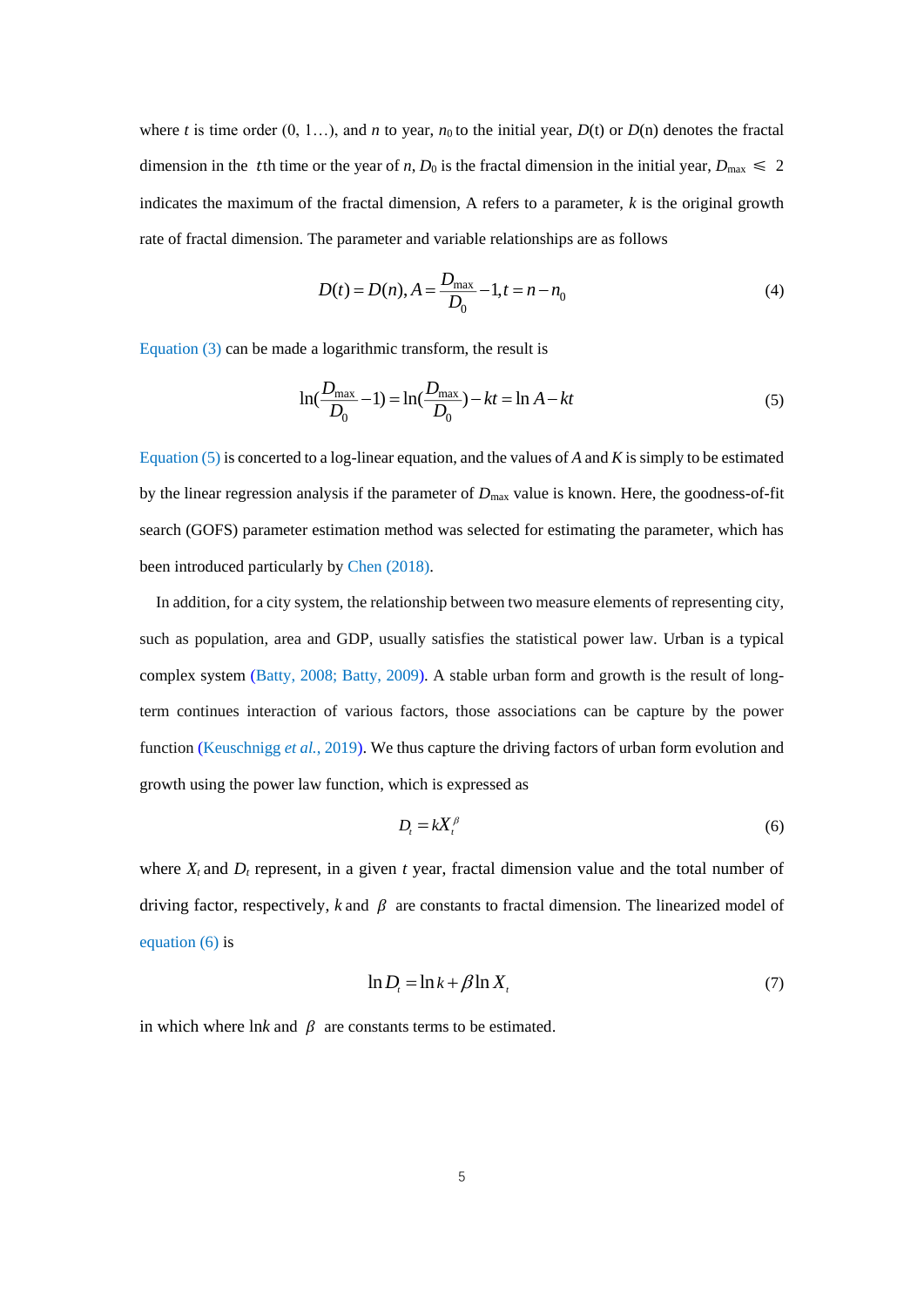where *t* is time order  $(0, 1...)$ , and *n* to year,  $n_0$  to the initial year,  $D(t)$  or  $D(n)$  denotes the fractal dimension in the the time or the year of *n*,  $D_0$  is the fractal dimension in the initial year,  $D_{\text{max}} \le 2$ indicates the maximum of the fractal dimension, A refers to a parameter, *k* is the original growth rate of fractal dimension. The parameter and variable relationships are as follows

$$
D(t) = D(n), A = \frac{D_{\text{max}}}{D_0} - 1, t = n - n_0
$$
\n<sup>(4)</sup>

Equation (3) can be made a logarithmic transform, the result is

$$
\ln(\frac{D_{\text{max}}}{D_0} - 1) = \ln(\frac{D_{\text{max}}}{D_0}) - kt = \ln A - kt
$$
\n(5)

Equation (5) is concerted to a log-linear equation, and the values of *A* and *K* is simply to be estimated by the linear regression analysis if the parameter of *D*max value is known. Here, the goodness-of-fit search (GOFS) parameter estimation method was selected for estimating the parameter, which has been introduced particularly by Chen (2018).

In addition, for a city system, the relationship between two measure elements of representing city, such as population, area and GDP, usually satisfies the statistical power law. Urban is a typical complex system (Batty, 2008; Batty, 2009). A stable urban form and growth is the result of longterm continues interaction of various factors, those associations can be capture by the power function (Keuschnigg *et al.*, 2019). We thus capture the driving factors of urban form evolution and growth using the power law function, which is expressed as

$$
D_t = kX_t^{\beta} \tag{6}
$$

where  $X_t$  and  $D_t$  represent, in a given  $t$  year, fractal dimension value and the total number of driving factor, respectively,  $k$  and  $\beta$  are constants to fractal dimension. The linearized model of equation (6) is

$$
\ln D_t = \ln k + \beta \ln X_t \tag{7}
$$

in which where  $\ln k$  and  $\beta$  are constants terms to be estimated.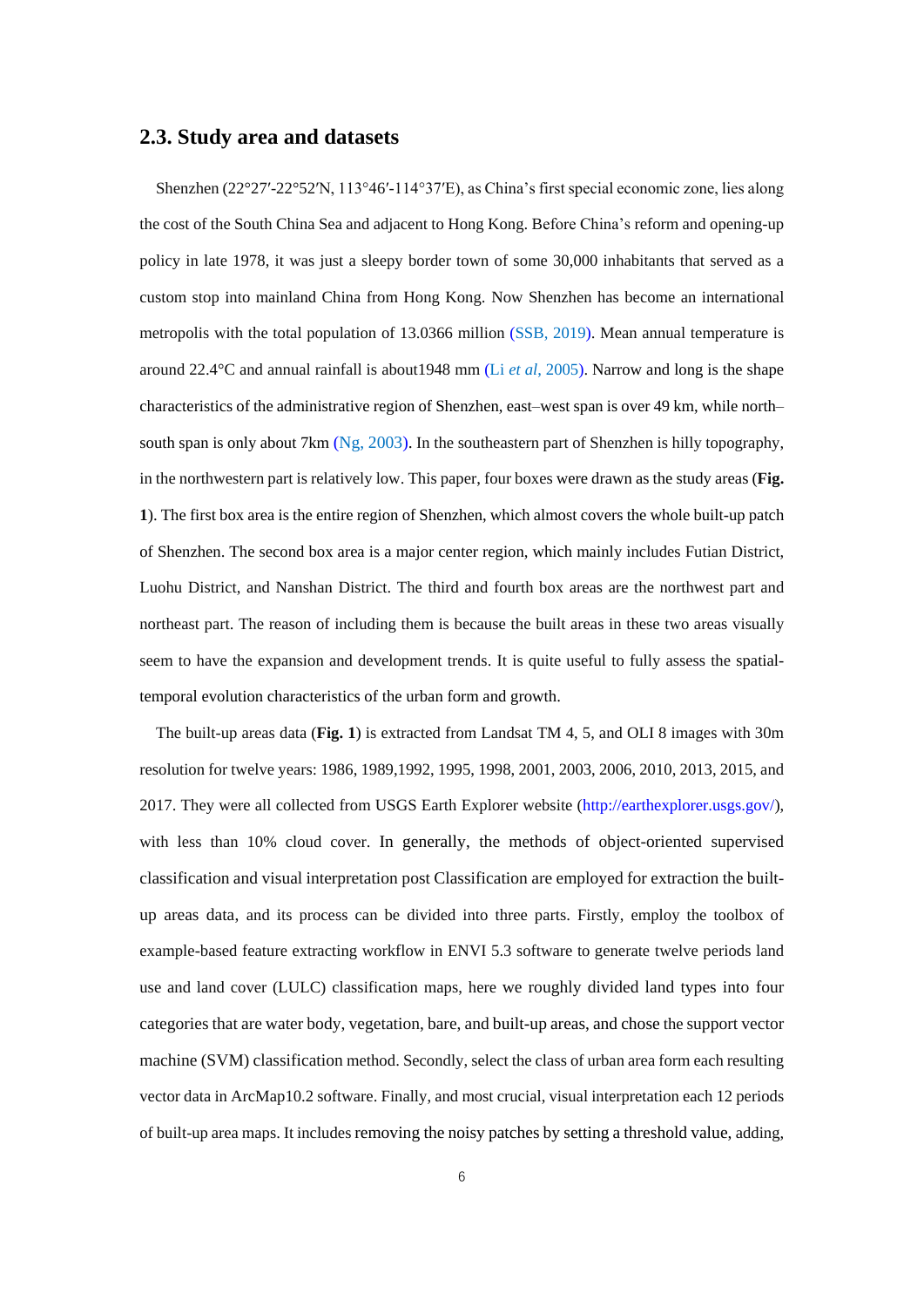#### **2.3. Study area and datasets**

Shenzhen (22°27′-22°52′N, 113°46′-114°37′E), as China's first special economic zone, lies along the cost of the South China Sea and adjacent to Hong Kong. Before China's reform and opening-up policy in late 1978, it was just a sleepy border town of some 30,000 inhabitants that served as a custom stop into mainland China from Hong Kong. Now Shenzhen has become an international metropolis with the total population of 13.0366 million (SSB, 2019). Mean annual temperature is around 22.4°C and annual rainfall is about1948 mm (Li *et al*, 2005). Narrow and long is the shape characteristics of the administrative region of Shenzhen, east–west span is over 49 km, while north– south span is only about 7km (Ng, 2003). In the southeastern part of Shenzhen is hilly topography, in the northwestern part is relatively low. This paper, four boxes were drawn as the study areas (**Fig. 1**). The first box area is the entire region of Shenzhen, which almost covers the whole built-up patch of Shenzhen. The second box area is a major center region, which mainly includes Futian District, Luohu District, and Nanshan District. The third and fourth box areas are the northwest part and northeast part. The reason of including them is because the built areas in these two areas visually seem to have the expansion and development trends. It is quite useful to fully assess the spatialtemporal evolution characteristics of the urban form and growth.

The built-up areas data (**Fig. 1**) is extracted from Landsat TM 4, 5, and OLI 8 images with 30m resolution for twelve years: 1986, 1989,1992, 1995, 1998, 2001, 2003, 2006, 2010, 2013, 2015, and 2017. They were all collected from USGS Earth Explorer website [\(http://earthexplorer.usgs.gov/\)](http://earthexplorer.usgs.gov/), with less than 10% cloud cover. In generally, the methods of object-oriented supervised classification and visual interpretation post Classification are employed for extraction the builtup areas data, and its process can be divided into three parts. Firstly, employ the toolbox of example-based feature extracting workflow in ENVI 5.3 software to generate twelve periods land use and land cover (LULC) classification maps, here we roughly divided land types into four categories that are water body, vegetation, bare, and built-up areas, and chose the support vector machine (SVM) classification method. Secondly, select the class of urban area form each resulting vector data in ArcMap10.2 software. Finally, and most crucial, visual interpretation each 12 periods of built-up area maps. It includes removing the noisy patches by setting a threshold value, adding,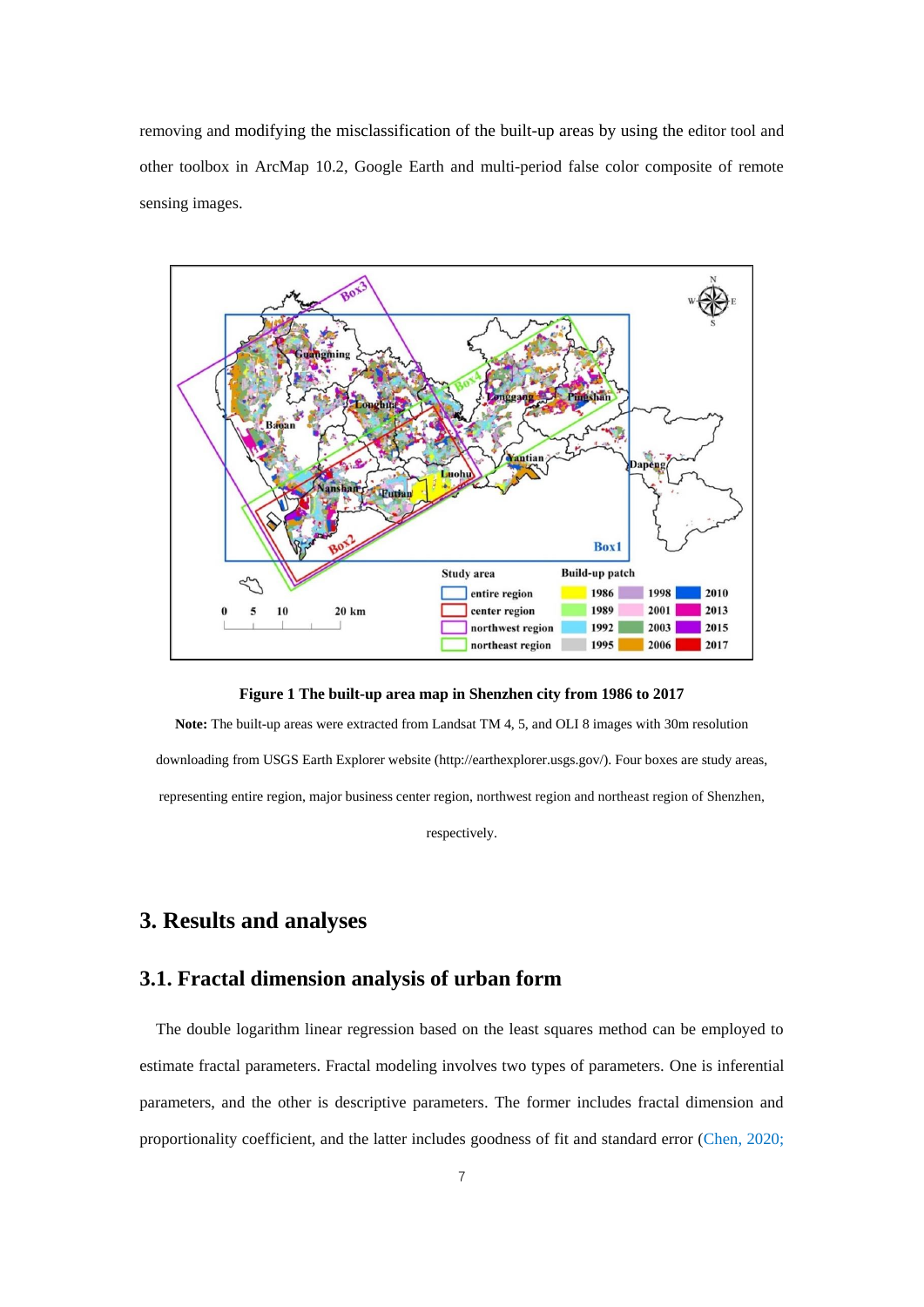removing and modifying the misclassification of the built-up areas by using the editor tool and other toolbox in ArcMap 10.2, Google Earth and multi-period false color composite of remote sensing images.



**Figure 1 The built-up area map in Shenzhen city from 1986 to 2017**

**Note:** The built-up areas were extracted from Landsat TM 4, 5, and OLI 8 images with 30m resolution downloading from USGS Earth Explorer website [\(http://earthexplorer.usgs.gov/\)](http://earthexplorer.usgs.gov/). Four boxes are study areas, representing entire region, major business center region, northwest region and northeast region of Shenzhen,

respectively.

### **3. Results and analyses**

#### **3.1. Fractal dimension analysis of urban form**

The double logarithm linear regression based on the least squares method can be employed to estimate fractal parameters. Fractal modeling involves two types of parameters. One is inferential parameters, and the other is descriptive parameters. The former includes fractal dimension and proportionality coefficient, and the latter includes goodness of fit and standard error (Chen, 2020;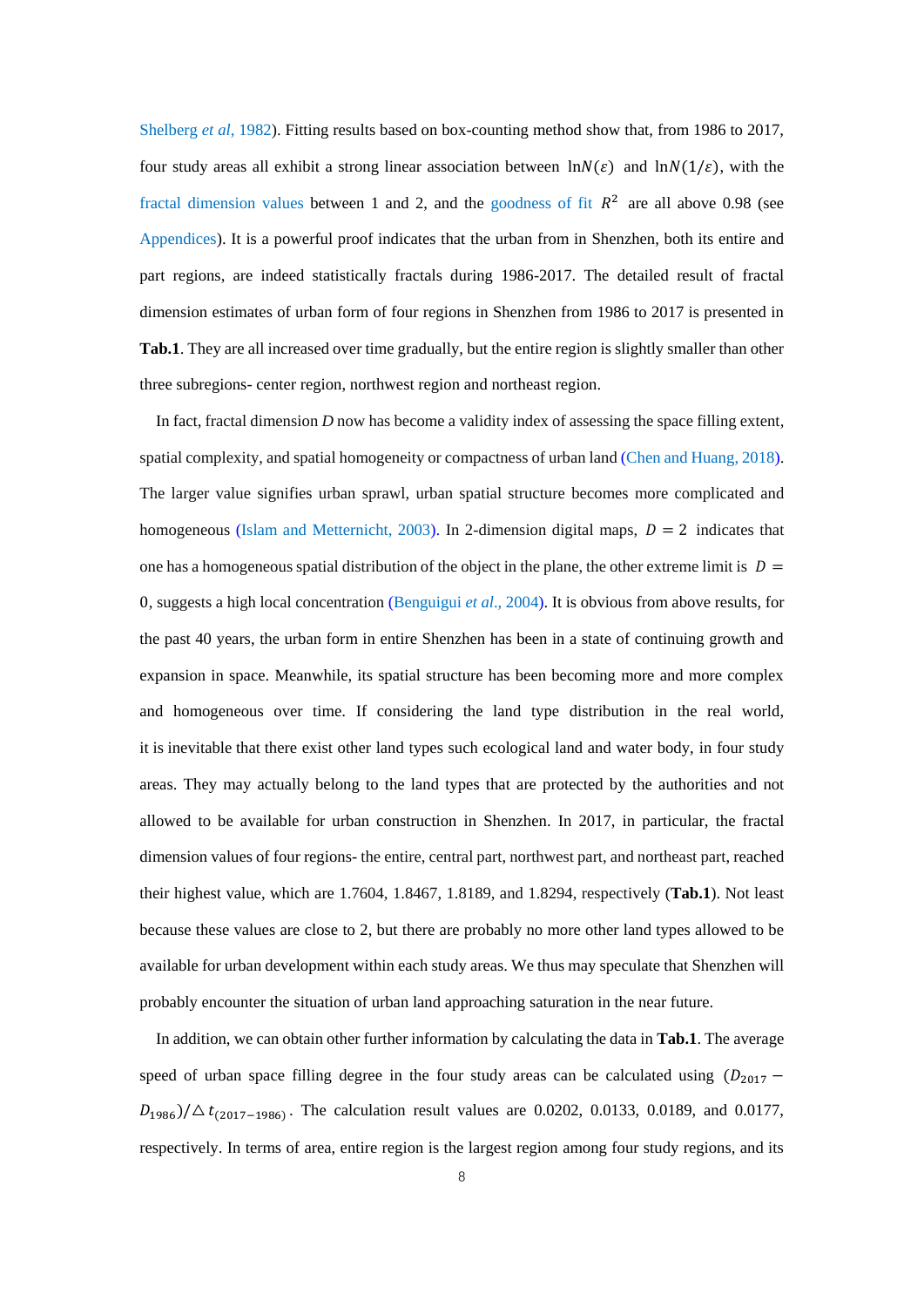Shelberg *et al*, 1982). Fitting results based on box-counting method show that, from 1986 to 2017, four study areas all exhibit a strong linear association between  $\ln N(\varepsilon)$  and  $\ln N(1/\varepsilon)$ , with the fractal dimension values between 1 and 2, and the goodness of fit  $R^2$  are all above 0.98 (see Appendices). It is a powerful proof indicates that the urban from in Shenzhen, both its entire and part regions, are indeed statistically fractals during 1986-2017. The detailed result of fractal dimension estimates of urban form of four regions in Shenzhen from 1986 to 2017 is presented in **Tab.1**. They are all increased over time gradually, but the entire region is slightly smaller than other three subregions- center region, northwest region and northeast region.

In fact, fractal dimension *D* now has become a validity index of assessing the space filling extent, spatial complexity, and spatial homogeneity or compactness of urban land (Chen and Huang, 2018). The larger value signifies urban sprawl, urban spatial structure becomes more complicated and homogeneous (Islam and Metternicht, 2003). In 2-dimension digital maps,  $D = 2$  indicates that one has a homogeneous spatial distribution of the object in the plane, the other extreme limit is  $D =$ 0, suggests a high local concentration (Benguigui *et al*., 2004). It is obvious from above results, for the past 40 years, the urban form in entire Shenzhen has been in a state of continuing growth and expansion in space. Meanwhile, its spatial structure has been becoming more and more complex and homogeneous over time. If considering the land type distribution in the real world, it is inevitable that there exist other land types such ecological land and water body, in four study areas. They may actually belong to the land types that are protected by the authorities and not allowed to be available for urban construction in Shenzhen. In 2017, in particular, the fractal dimension values of four regions- the entire, central part, northwest part, and northeast part, reached their highest value, which are 1.7604, 1.8467, 1.8189, and 1.8294, respectively (**Tab.1**). Not least because these values are close to 2, but there are probably no more other land types allowed to be available for urban development within each study areas. We thus may speculate that Shenzhen will probably encounter the situation of urban land approaching saturation in the near future.

In addition, we can obtain other further information by calculating the data in **Tab.1**. The average speed of urban space filling degree in the four study areas can be calculated using  $(D_{2017} D_{1986}$ / $\Delta t_{(2017-1986)}$ . The calculation result values are 0.0202, 0.0133, 0.0189, and 0.0177, respectively. In terms of area, entire region is the largest region among four study regions, and its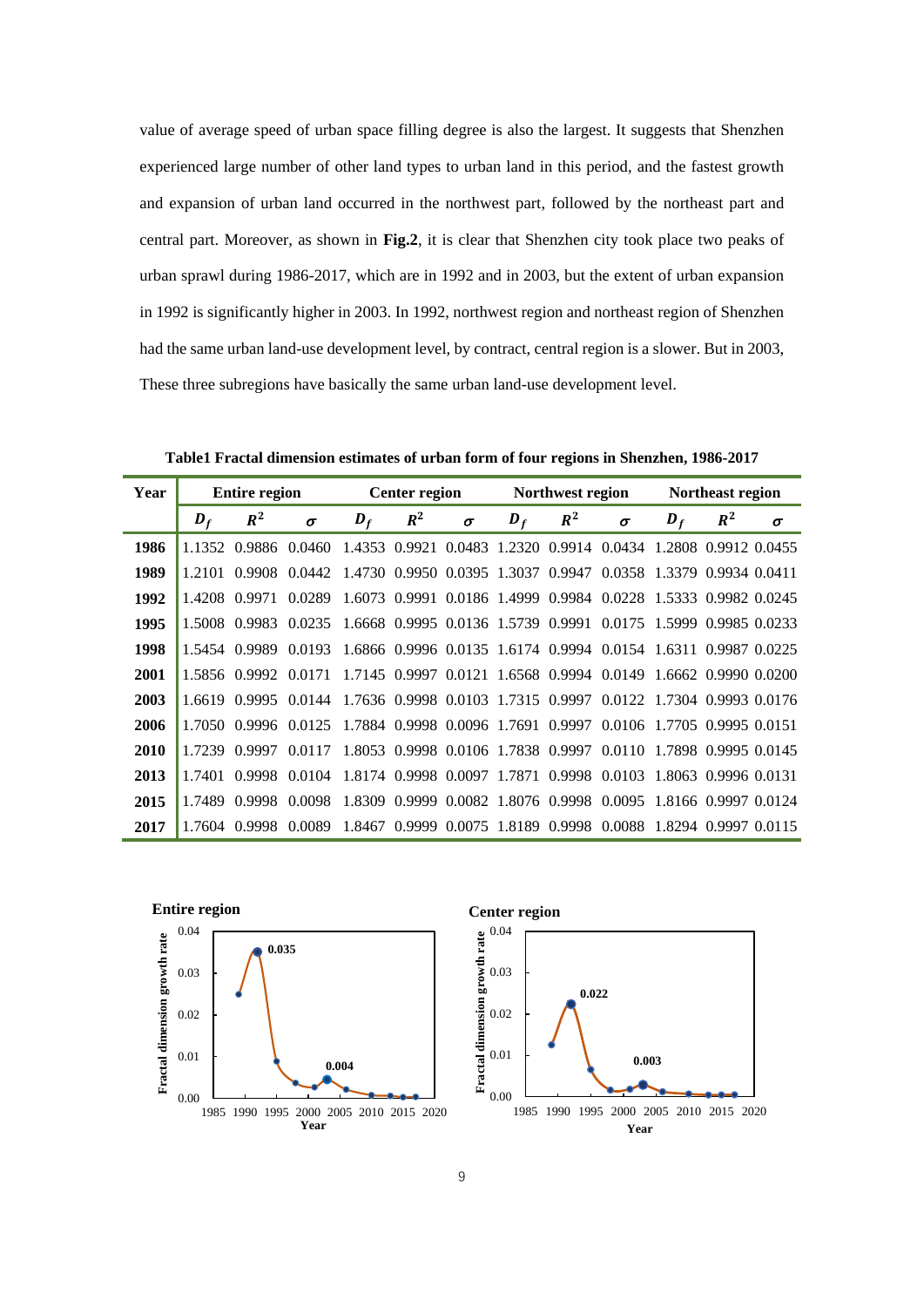value of average speed of urban space filling degree is also the largest. It suggests that Shenzhen experienced large number of other land types to urban land in this period, and the fastest growth and expansion of urban land occurred in the northwest part, followed by the northeast part and central part. Moreover, as shown in **Fig.2**, it is clear that Shenzhen city took place two peaks of urban sprawl during 1986-2017, which are in 1992 and in 2003, but the extent of urban expansion in 1992 is significantly higher in 2003. In 1992, northwest region and northeast region of Shenzhen had the same urban land-use development level, by contract, central region is a slower. But in 2003, These three subregions have basically the same urban land-use development level.

**Table1 Fractal dimension estimates of urban form of four regions in Shenzhen, 1986-2017**

| Year |            | <b>Entire region</b> |                                                                                     |            | <b>Center region</b> |          |            | Northwest region |                                                                |            | Northeast region |          |
|------|------------|----------------------|-------------------------------------------------------------------------------------|------------|----------------------|----------|------------|------------------|----------------------------------------------------------------|------------|------------------|----------|
|      | $\bm{D_f}$ | $R^2$                | $\sigma$                                                                            | $\bm{D_f}$ | $R^2$                | $\sigma$ | $\bm{D_f}$ | $R^2$            | $\sigma$                                                       | $\bm{D_f}$ | $R^2$            | $\sigma$ |
| 1986 |            |                      | 1.1352 0.9886 0.0460                                                                |            |                      |          |            |                  | 1.4353 0.9921 0.0483 1.2320 0.9914 0.0434 1.2808 0.9912 0.0455 |            |                  |          |
| 1989 |            |                      | 1.2101 0.9908 0.0442 1.4730 0.9950 0.0395 1.3037 0.9947 0.0358 1.3379 0.9934 0.0411 |            |                      |          |            |                  |                                                                |            |                  |          |
| 1992 |            | 1.4208 0.9971        | 0.0289                                                                              |            |                      |          |            |                  | 1.6073 0.9991 0.0186 1.4999 0.9984 0.0228 1.5333 0.9982 0.0245 |            |                  |          |
| 1995 |            | 1.5008 0.9983        | 0.0235                                                                              |            |                      |          |            |                  | 1.6668 0.9995 0.0136 1.5739 0.9991 0.0175 1.5999 0.9985 0.0233 |            |                  |          |
| 1998 |            | 1.5454 0.9989        | 0.0193                                                                              |            |                      |          |            |                  | 1.6866 0.9996 0.0135 1.6174 0.9994 0.0154 1.6311 0.9987 0.0225 |            |                  |          |
| 2001 |            |                      | 1.5856 0.9992 0.0171 1.7145 0.9997 0.0121 1.6568 0.9994 0.0149 1.6662 0.9990 0.0200 |            |                      |          |            |                  |                                                                |            |                  |          |
| 2003 |            |                      | 1.6619 0.9995 0.0144 1.7636 0.9998 0.0103 1.7315 0.9997 0.0122 1.7304 0.9993 0.0176 |            |                      |          |            |                  |                                                                |            |                  |          |
| 2006 |            |                      | 1.7050 0.9996 0.0125 1.7884 0.9998 0.0096 1.7691 0.9997 0.0106 1.7705 0.9995 0.0151 |            |                      |          |            |                  |                                                                |            |                  |          |
| 2010 |            |                      | 1.7239 0.9997 0.0117 1.8053 0.9998 0.0106 1.7838 0.9997 0.0110 1.7898 0.9995 0.0145 |            |                      |          |            |                  |                                                                |            |                  |          |
| 2013 | 1.7401     | 0.9998               | 0.0104                                                                              |            |                      |          |            |                  | 1.8174 0.9998 0.0097 1.7871 0.9998 0.0103 1.8063 0.9996 0.0131 |            |                  |          |
| 2015 | 1.7489     | 0.9998               | 0.0098                                                                              |            |                      |          |            |                  | 1.8309 0.9999 0.0082 1.8076 0.9998 0.0095 1.8166 0.9997 0.0124 |            |                  |          |
| 2017 |            |                      | 1.7604 0.9998 0.0089 1.8467 0.9999 0.0075 1.8189 0.9998 0.0088 1.8294 0.9997 0.0115 |            |                      |          |            |                  |                                                                |            |                  |          |



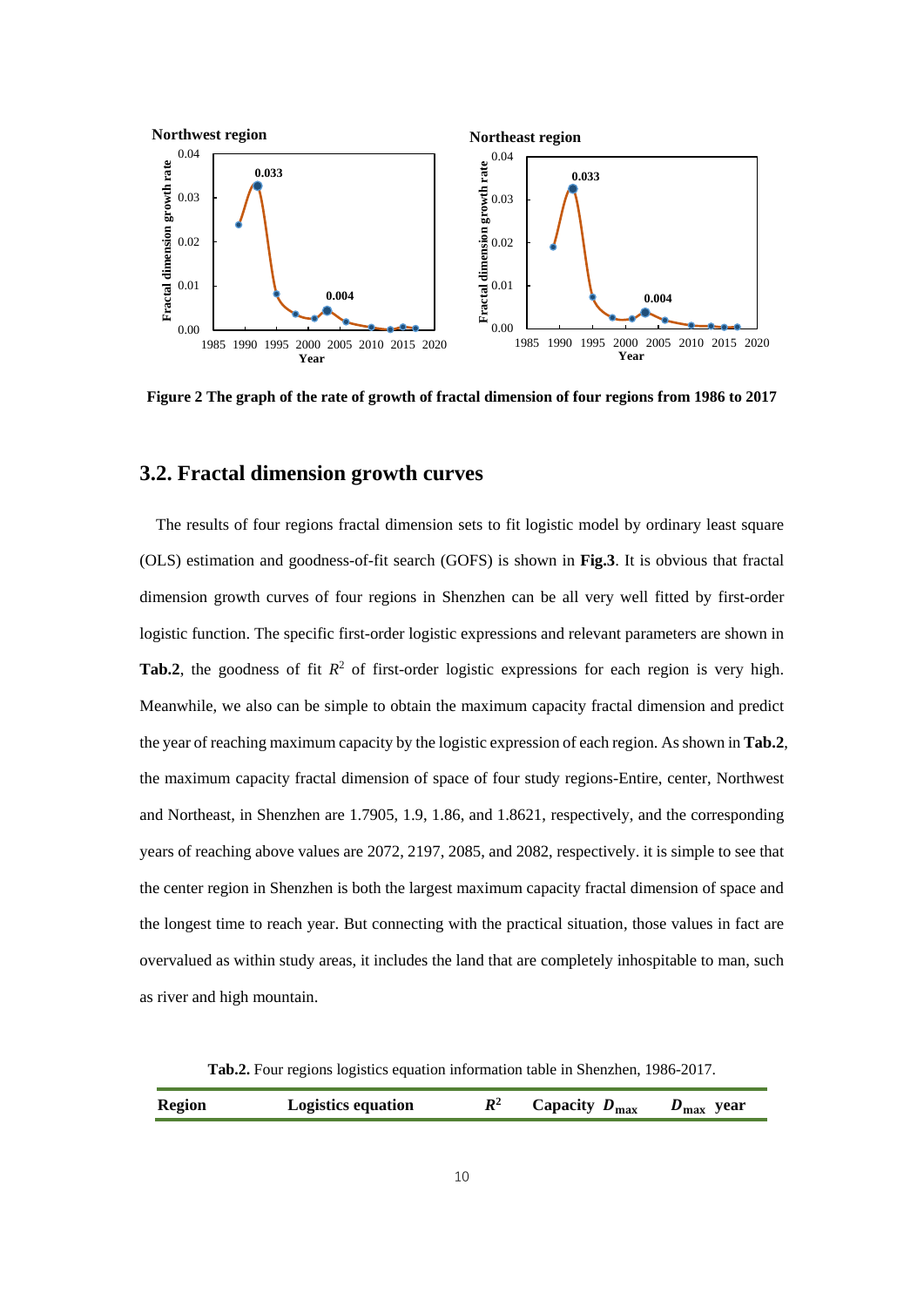

**Figure 2 The graph of the rate of growth of fractal dimension of four regions from 1986 to 2017**

#### **3.2. Fractal dimension growth curves**

The results of four regions fractal dimension sets to fit logistic model by ordinary least square (OLS) estimation and goodness-of-fit search (GOFS) is shown in **Fig.3**. It is obvious that fractal dimension growth curves of four regions in Shenzhen can be all very well fitted by first-order logistic function. The specific first-order logistic expressions and relevant parameters are shown in **Tab.2**, the goodness of fit  $R^2$  of first-order logistic expressions for each region is very high. Meanwhile, we also can be simple to obtain the maximum capacity fractal dimension and predict the year of reaching maximum capacity by the logistic expression of each region. As shown in **Tab.2**, the maximum capacity fractal dimension of space of four study regions-Entire, center, Northwest and Northeast, in Shenzhen are 1.7905, 1.9, 1.86, and 1.8621, respectively, and the corresponding years of reaching above values are 2072, 2197, 2085, and 2082, respectively. it is simple to see that the center region in Shenzhen is both the largest maximum capacity fractal dimension of space and the longest time to reach year. But connecting with the practical situation, those values in fact are overvalued as within study areas, it includes the land that are completely inhospitable to man, such as river and high mountain.

**Tab.2.** Four regions logistics equation information table in Shenzhen, 1986-2017.

|  | <b>Region</b> | <b>Logistics equation</b> | $\mathbb{R}^2$ | Capacity $D_{\text{max}}$ | $D_{\text{max}}$ year |
|--|---------------|---------------------------|----------------|---------------------------|-----------------------|
|--|---------------|---------------------------|----------------|---------------------------|-----------------------|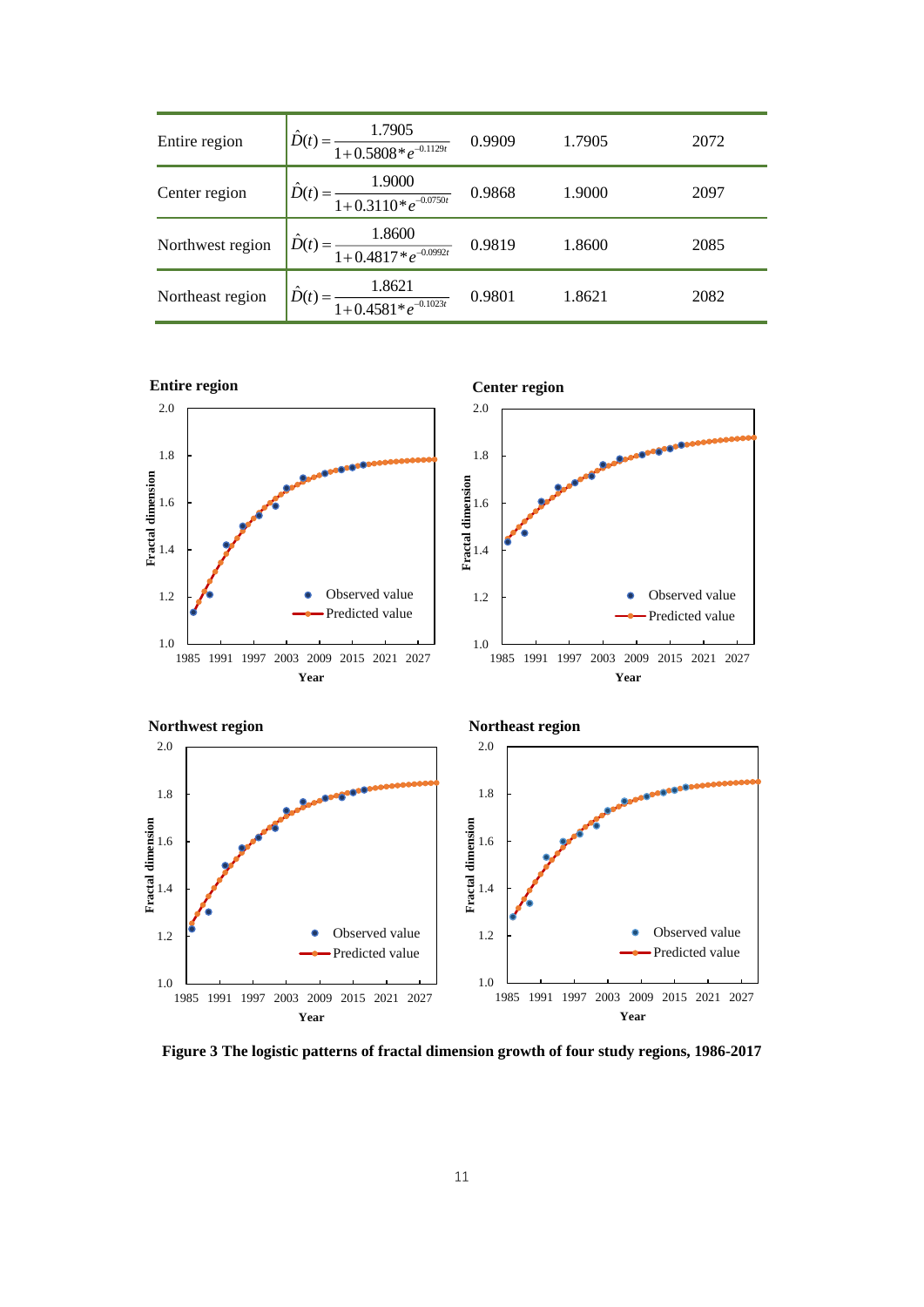| Entire region    | $\frac{1.7905}{1+0.5808*e^{-0.1129t}}$ 0.9909                      | 1.7905 | 2072 |
|------------------|--------------------------------------------------------------------|--------|------|
| Center region    | $\frac{1.9000}{1+0.3110*e^{-0.0750t}}$ 0.9868                      | 1.9000 | 2097 |
| Northwest region | $\hat{D}(t) = \frac{1.8600}{1 + 0.4817 \cdot e^{-0.0992t}}$ 0.9819 | 1.8600 | 2085 |
| Northeast region | $\hat{D}(t) = \frac{1.8621}{1 + 0.4581 * e^{-0.1023t}}$ 0.9801     | 1.8621 | 2082 |



**Figure 3 The logistic patterns of fractal dimension growth of four study regions, 1986-2017**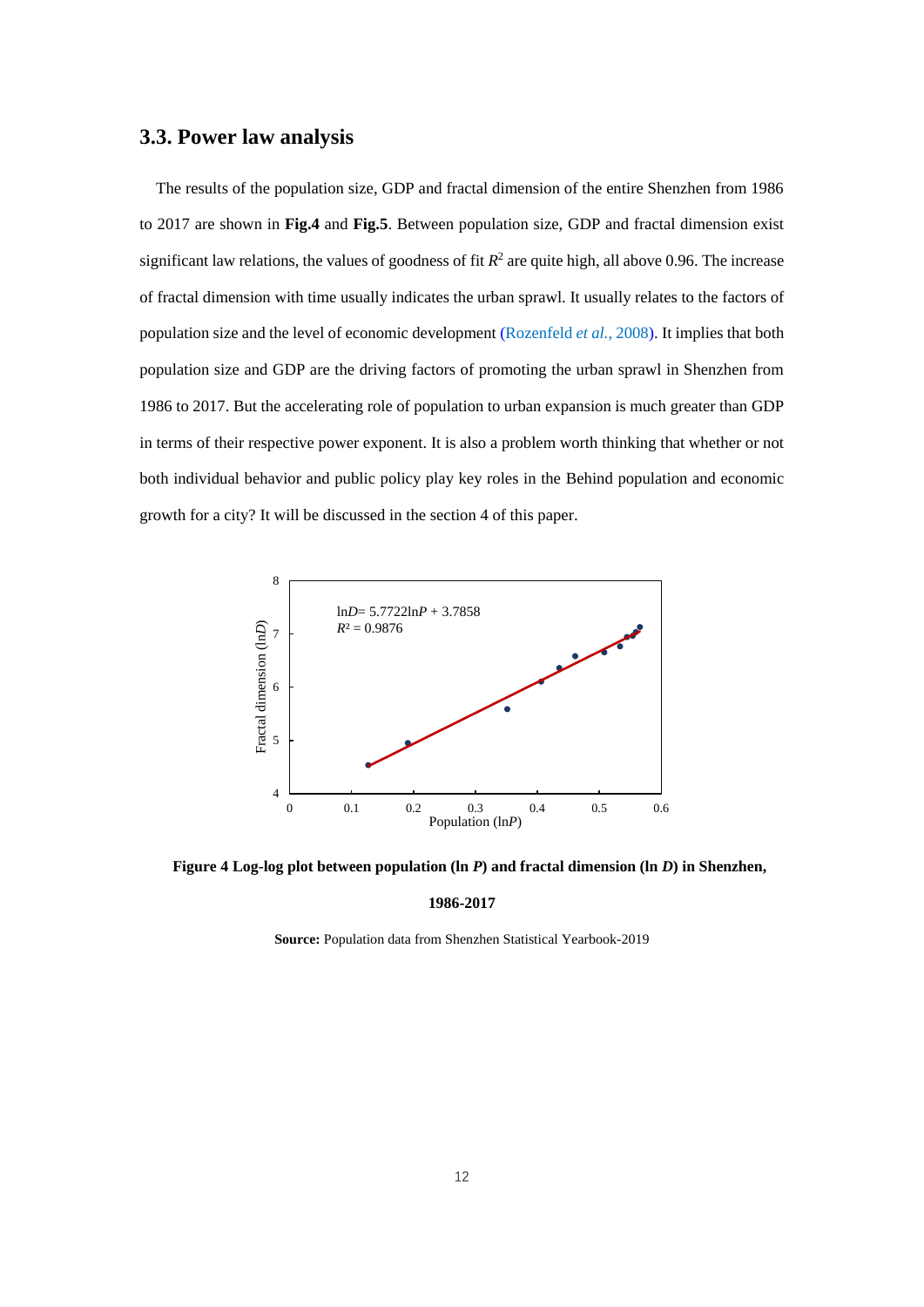#### **3.3. Power law analysis**

The results of the population size, GDP and fractal dimension of the entire Shenzhen from 1986 to 2017 are shown in **Fig.4** and **Fig.5**. Between population size, GDP and fractal dimension exist significant law relations, the values of goodness of fit  $R^2$  are quite high, all above 0.96. The increase of fractal dimension with time usually indicates the urban sprawl. It usually relates to the factors of population size and the level of economic development (Rozenfeld *et al.*, 2008). It implies that both population size and GDP are the driving factors of promoting the urban sprawl in Shenzhen from 1986 to 2017. But the accelerating role of population to urban expansion is much greater than GDP in terms of their respective power exponent. It is also a problem worth thinking that whether or not both individual behavior and public policy play key roles in the Behind population and economic growth for a city? It will be discussed in the section 4 of this paper.



**Figure 4 Log-log plot between population (ln** *P***) and fractal dimension (ln** *D***) in Shenzhen,** 

#### **1986-2017**

**Source:** Population data from Shenzhen Statistical Yearbook-2019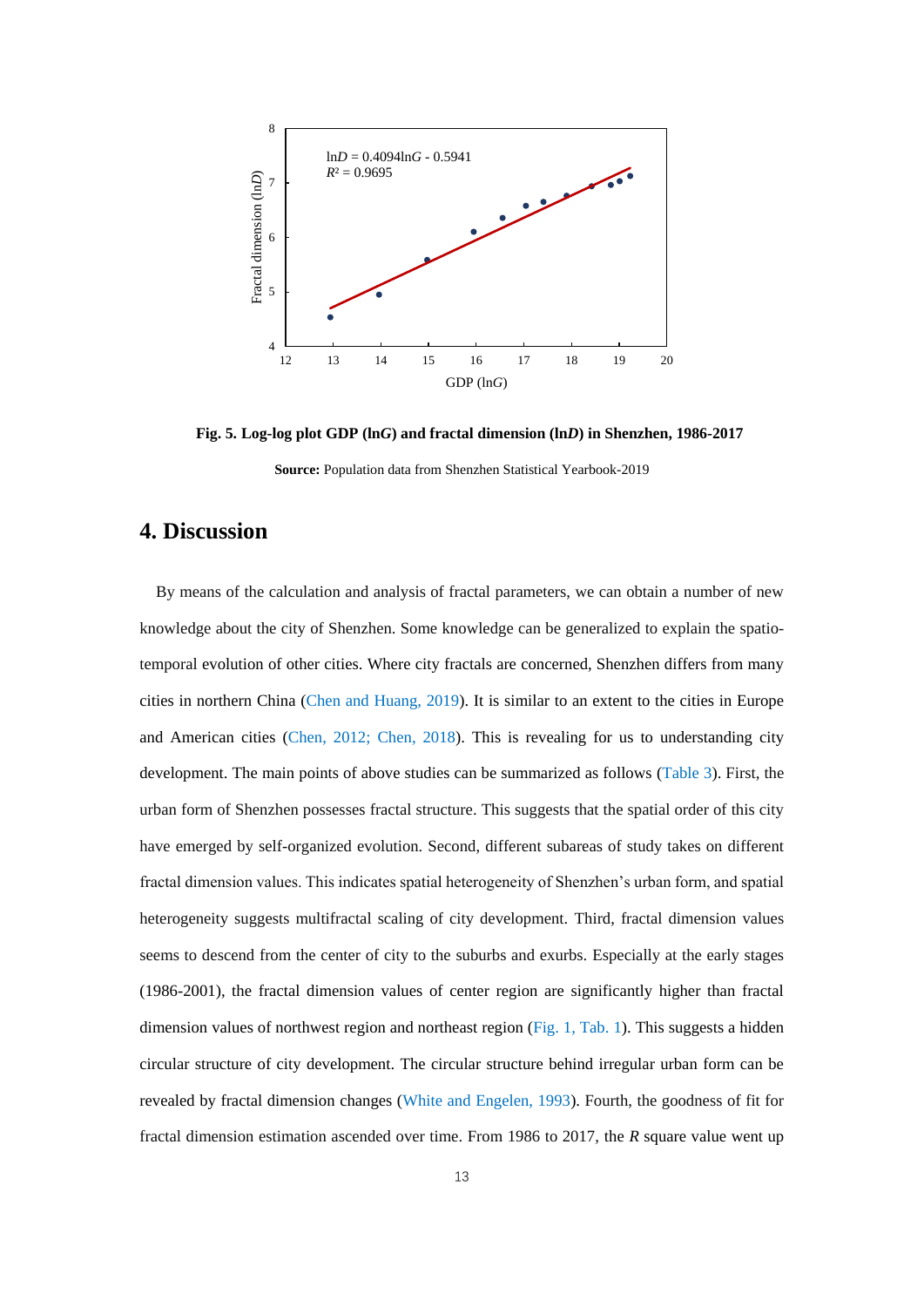

**Fig. 5. Log-log plot GDP (ln***G***) and fractal dimension (ln***D***) in Shenzhen, 1986-2017**

#### **4. Discussion**

By means of the calculation and analysis of fractal parameters, we can obtain a number of new knowledge about the city of Shenzhen. Some knowledge can be generalized to explain the spatiotemporal evolution of other cities. Where city fractals are concerned, Shenzhen differs from many cities in northern China (Chen and Huang, 2019). It is similar to an extent to the cities in Europe and American cities (Chen, 2012; Chen, 2018). This is revealing for us to understanding city development. The main points of above studies can be summarized as follows (Table 3). First, the urban form of Shenzhen possesses fractal structure. This suggests that the spatial order of this city have emerged by self-organized evolution. Second, different subareas of study takes on different fractal dimension values. This indicates spatial heterogeneity of Shenzhen's urban form, and spatial heterogeneity suggests multifractal scaling of city development. Third, fractal dimension values seems to descend from the center of city to the suburbs and exurbs. Especially at the early stages (1986-2001), the fractal dimension values of center region are significantly higher than fractal dimension values of northwest region and northeast region (Fig. 1, Tab. 1). This suggests a hidden circular structure of city development. The circular structure behind irregular urban form can be revealed by fractal dimension changes (White and Engelen, 1993). Fourth, the goodness of fit for fractal dimension estimation ascended over time. From 1986 to 2017, the *R* square value went up

**Source:** Population data from Shenzhen Statistical Yearbook-2019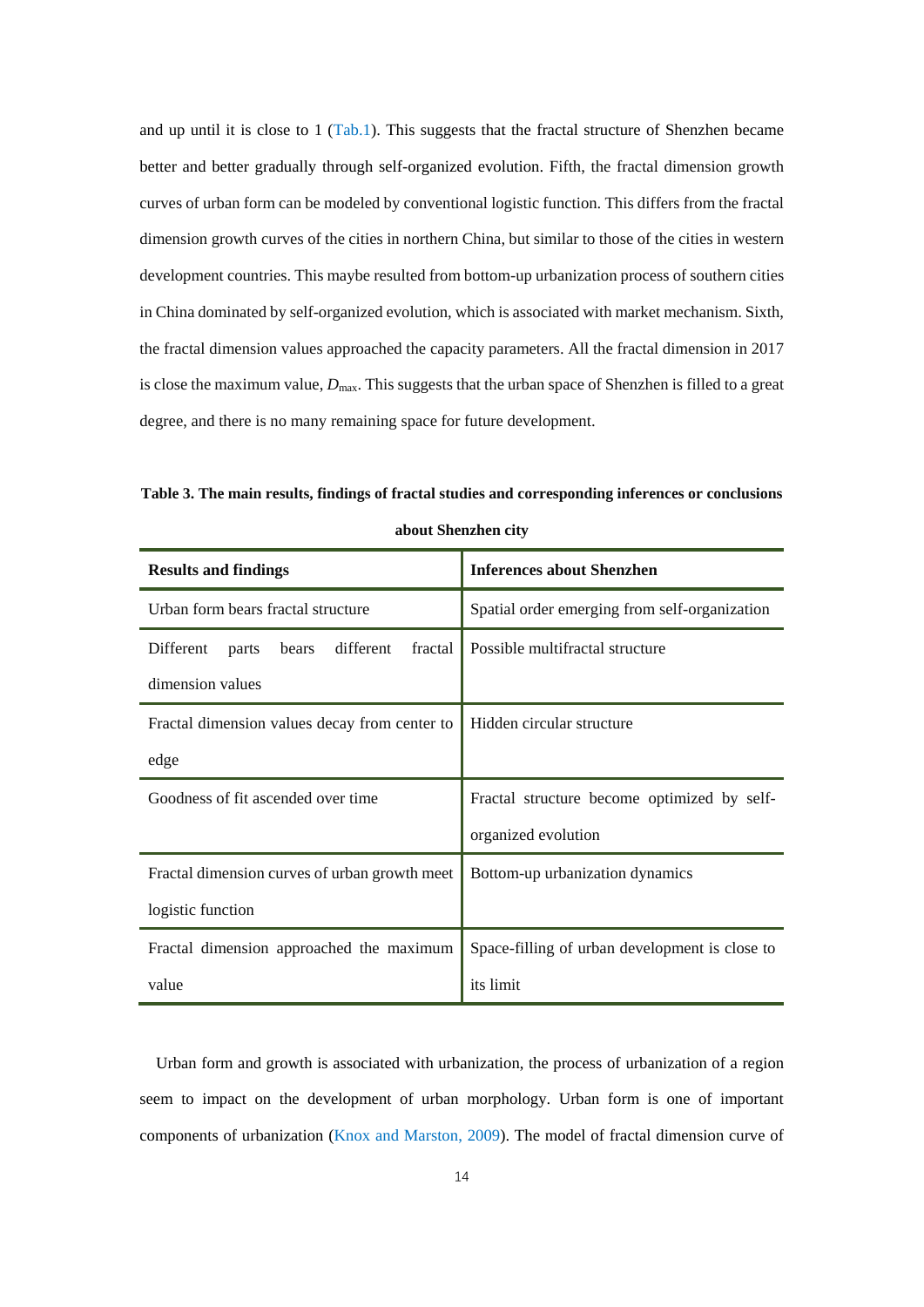and up until it is close to 1 (Tab.1). This suggests that the fractal structure of Shenzhen became better and better gradually through self-organized evolution. Fifth, the fractal dimension growth curves of urban form can be modeled by conventional logistic function. This differs from the fractal dimension growth curves of the cities in northern China, but similar to those of the cities in western development countries. This maybe resulted from bottom-up urbanization process of southern cities in China dominated by self-organized evolution, which is associated with market mechanism. Sixth, the fractal dimension values approached the capacity parameters. All the fractal dimension in 2017 is close the maximum value,  $D_{\text{max}}$ . This suggests that the urban space of Shenzhen is filled to a great degree, and there is no many remaining space for future development.

**Table 3. The main results, findings of fractal studies and corresponding inferences or conclusions about Shenzhen city**

| <b>Results and findings</b>                         | <b>Inferences about Shenzhen</b>               |  |  |  |
|-----------------------------------------------------|------------------------------------------------|--|--|--|
| Urban form bears fractal structure                  | Spatial order emerging from self-organization  |  |  |  |
| different<br>fractal<br>Different<br>bears<br>parts | Possible multifractal structure                |  |  |  |
| dimension values                                    |                                                |  |  |  |
| Fractal dimension values decay from center to       | Hidden circular structure                      |  |  |  |
| edge                                                |                                                |  |  |  |
| Goodness of fit ascended over time                  | Fractal structure become optimized by self-    |  |  |  |
|                                                     | organized evolution                            |  |  |  |
| Fractal dimension curves of urban growth meet       | Bottom-up urbanization dynamics                |  |  |  |
| logistic function                                   |                                                |  |  |  |
| Fractal dimension approached the maximum            | Space-filling of urban development is close to |  |  |  |
| value                                               | its limit                                      |  |  |  |

Urban form and growth is associated with urbanization, the process of urbanization of a region seem to impact on the development of urban morphology. Urban form is one of important components of urbanization (Knox and Marston, 2009). The model of fractal dimension curve of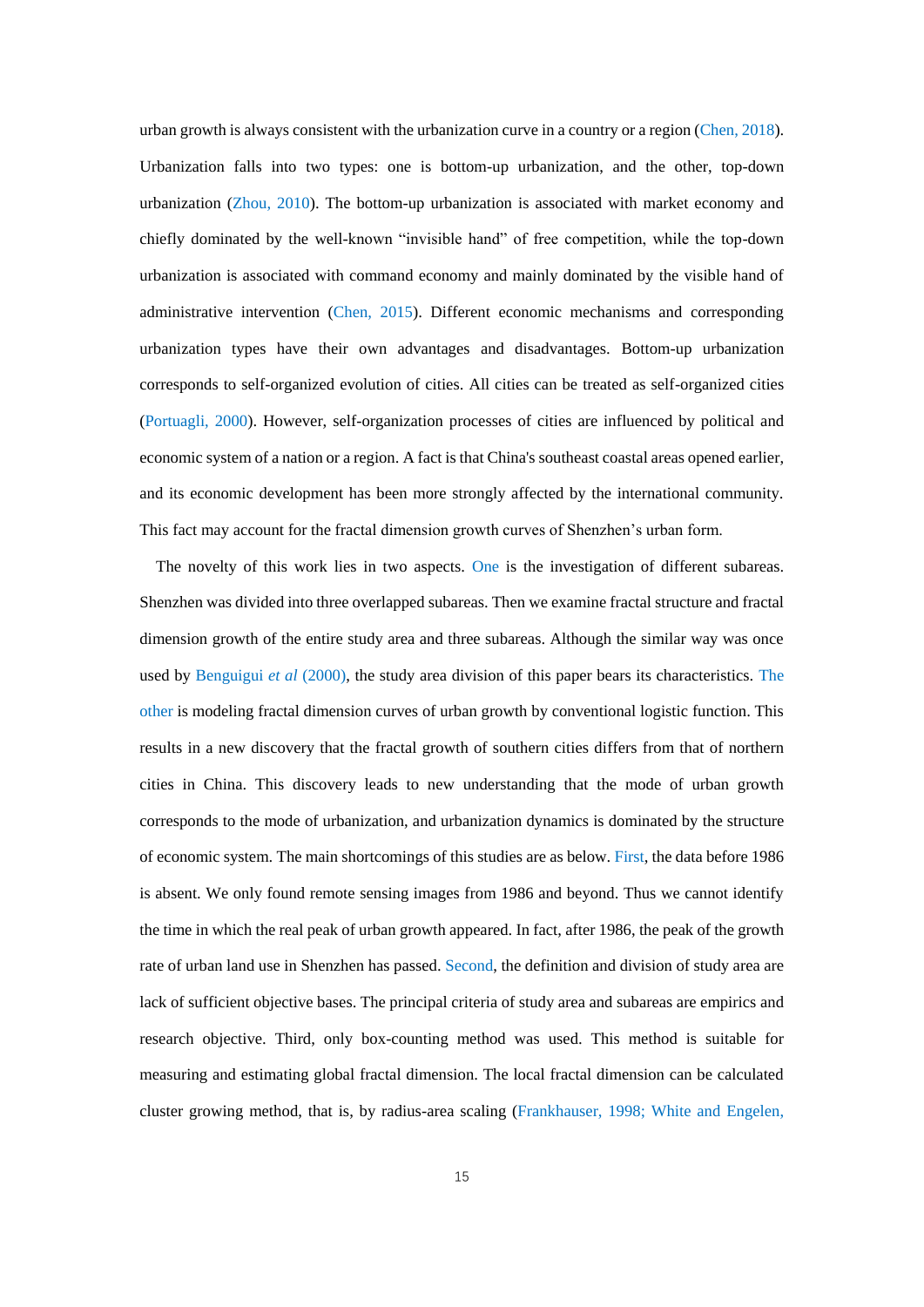urban growth is always consistent with the urbanization curve in a country or a region (Chen, 2018). Urbanization falls into two types: one is bottom-up urbanization, and the other, top-down urbanization (Zhou, 2010). The bottom-up urbanization is associated with market economy and chiefly dominated by the well-known "invisible hand" of free competition, while the top-down urbanization is associated with command economy and mainly dominated by the visible hand of administrative intervention (Chen, 2015). Different economic mechanisms and corresponding urbanization types have their own advantages and disadvantages. Bottom-up urbanization corresponds to self-organized evolution of cities. All cities can be treated as self-organized cities (Portuagli, 2000). However, self-organization processes of cities are influenced by political and economic system of a nation or a region. A fact is that China's southeast coastal areas opened earlier, and its economic development has been more strongly affected by the international community. This fact may account for the fractal dimension growth curves of Shenzhen's urban form.

The novelty of this work lies in two aspects. One is the investigation of different subareas. Shenzhen was divided into three overlapped subareas. Then we examine fractal structure and fractal dimension growth of the entire study area and three subareas. Although the similar way was once used by Benguigui *et al* (2000), the study area division of this paper bears its characteristics. The other is modeling fractal dimension curves of urban growth by conventional logistic function. This results in a new discovery that the fractal growth of southern cities differs from that of northern cities in China. This discovery leads to new understanding that the mode of urban growth corresponds to the mode of urbanization, and urbanization dynamics is dominated by the structure of economic system. The main shortcomings of this studies are as below. First, the data before 1986 is absent. We only found remote sensing images from 1986 and beyond. Thus we cannot identify the time in which the real peak of urban growth appeared. In fact, after 1986, the peak of the growth rate of urban land use in Shenzhen has passed. Second, the definition and division of study area are lack of sufficient objective bases. The principal criteria of study area and subareas are empirics and research objective. Third, only box-counting method was used. This method is suitable for measuring and estimating global fractal dimension. The local fractal dimension can be calculated cluster growing method, that is, by radius-area scaling (Frankhauser, 1998; White and Engelen,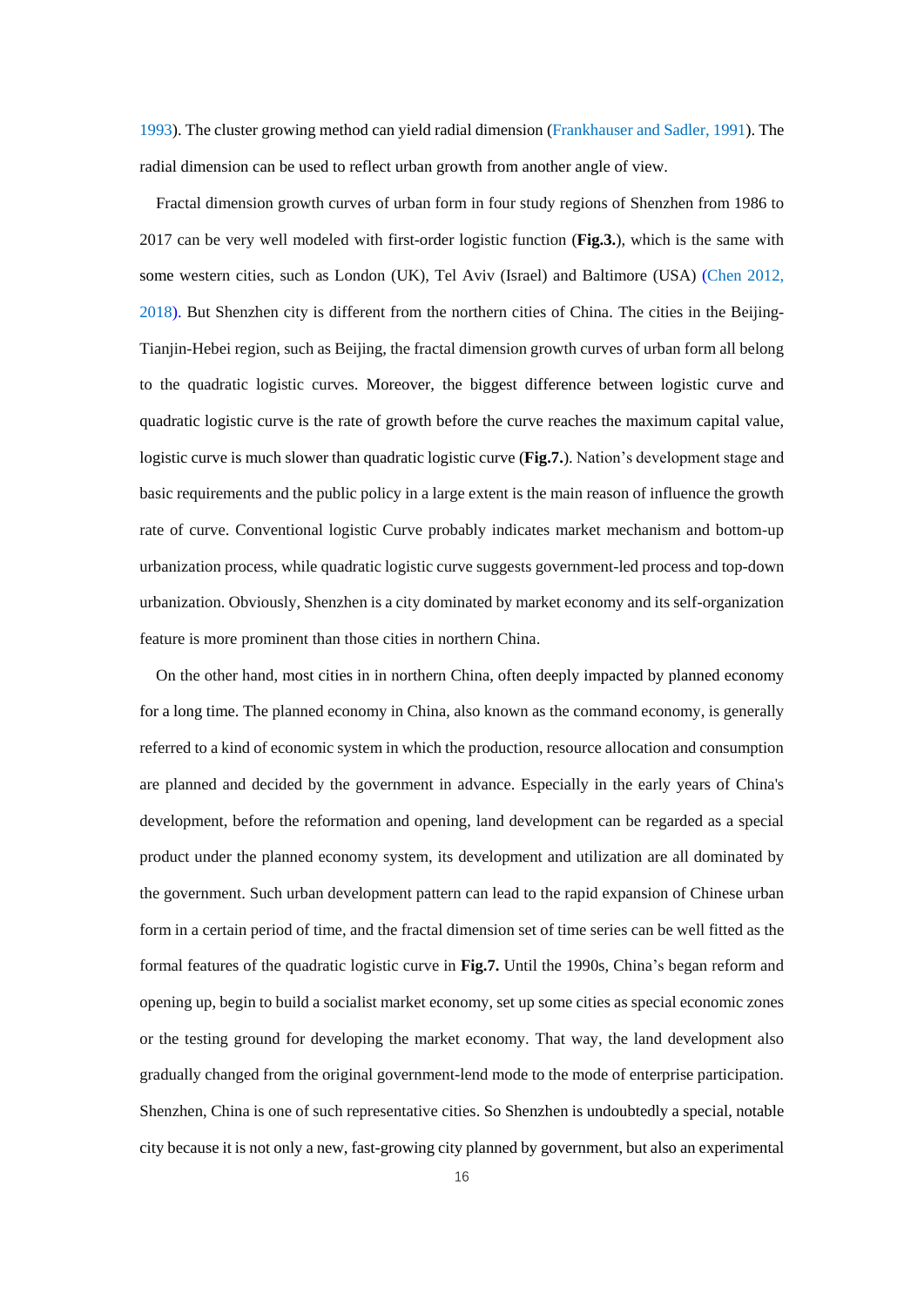1993). The cluster growing method can yield radial dimension (Frankhauser and Sadler, 1991). The radial dimension can be used to reflect urban growth from another angle of view.

Fractal dimension growth curves of urban form in four study regions of Shenzhen from 1986 to 2017 can be very well modeled with first-order logistic function (**Fig.3.**), which is the same with some western cities, such as London (UK), Tel Aviv (Israel) and Baltimore (USA) (Chen 2012, 2018). But Shenzhen city is different from the northern cities of China. The cities in the Beijing-Tianjin-Hebei region, such as Beijing, the fractal dimension growth curves of urban form all belong to the quadratic logistic curves. Moreover, the biggest difference between logistic curve and quadratic logistic curve is the rate of growth before the curve reaches the maximum capital value, logistic curve is much slower than quadratic logistic curve (**Fig.7.**). Nation's development stage and basic requirements and the public policy in a large extent is the main reason of influence the growth rate of curve. Conventional logistic Curve probably indicates market mechanism and bottom-up urbanization process, while quadratic logistic curve suggests government-led process and top-down urbanization. Obviously, Shenzhen is a city dominated by market economy and its self-organization feature is more prominent than those cities in northern China.

On the other hand, most cities in in northern China, often deeply impacted by planned economy for a long time. The planned economy in China, also known as the command economy, is generally referred to a kind of economic system in which the production, resource allocation and consumption are planned and decided by the government in advance. Especially in the early years of China's development, before the reformation and opening, land development can be regarded as a special product under the planned economy system, its development and utilization are all dominated by the government. Such urban development pattern can lead to the rapid expansion of Chinese urban form in a certain period of time, and the fractal dimension set of time series can be well fitted as the formal features of the quadratic logistic curve in **Fig.7.** Until the 1990s, China's began reform and opening up, begin to build a socialist market economy, set up some cities as special economic zones or the testing ground for developing the market economy. That way, the land development also gradually changed from the original government-lend mode to the mode of enterprise participation. Shenzhen, China is one of such representative cities. So Shenzhen is undoubtedly a special, notable city because it is not only a new, fast-growing city planned by government, but also an experimental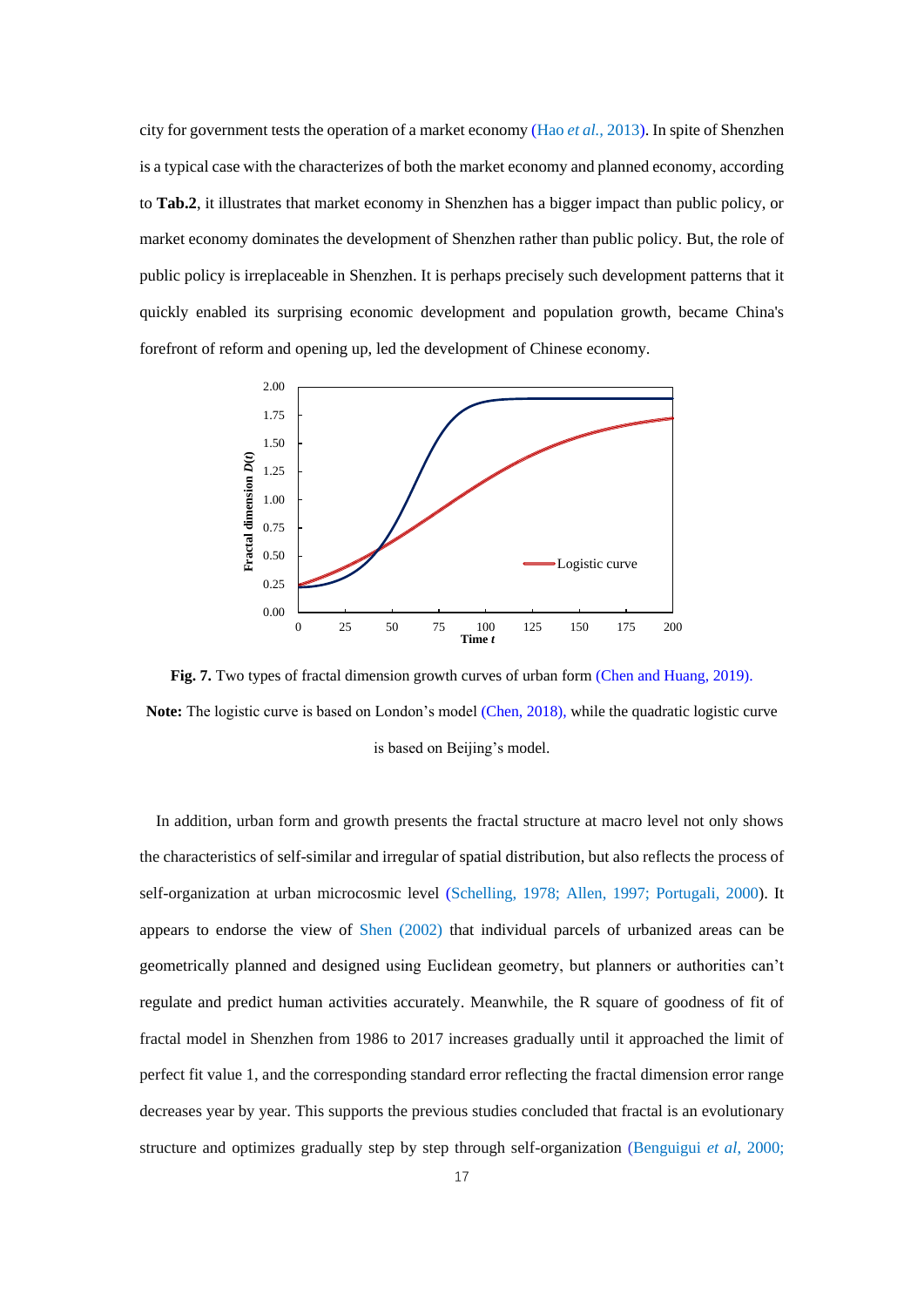city for government tests the operation of a market economy (Hao *et al.,* 2013). In spite of Shenzhen is a typical case with the characterizes of both the market economy and planned economy, according to **Tab.2**, it illustrates that market economy in Shenzhen has a bigger impact than public policy, or market economy dominates the development of Shenzhen rather than public policy. But, the role of public policy is irreplaceable in Shenzhen. It is perhaps precisely such development patterns that it quickly enabled its surprising economic development and population growth, became China's forefront of reform and opening up, led the development of Chinese economy.



**Fig. 7.** Two types of fractal dimension growth curves of urban form (Chen and Huang, 2019). **Note:** The logistic curve is based on London's model (Chen, 2018), while the quadratic logistic curve is based on Beijing's model.

In addition, urban form and growth presents the fractal structure at macro level not only shows the characteristics of self-similar and irregular of spatial distribution, but also reflects the process of self-organization at urban microcosmic level (Schelling, 1978; Allen, 1997; Portugali, 2000). It appears to endorse the view of Shen (2002) that individual parcels of urbanized areas can be geometrically planned and designed using Euclidean geometry, but planners or authorities can't regulate and predict human activities accurately. Meanwhile, the R square of goodness of fit of fractal model in Shenzhen from 1986 to 2017 increases gradually until it approached the limit of perfect fit value 1, and the corresponding standard error reflecting the fractal dimension error range decreases year by year. This supports the previous studies concluded that fractal is an evolutionary structure and optimizes gradually step by step through self-organization (Benguigui *et al*, 2000;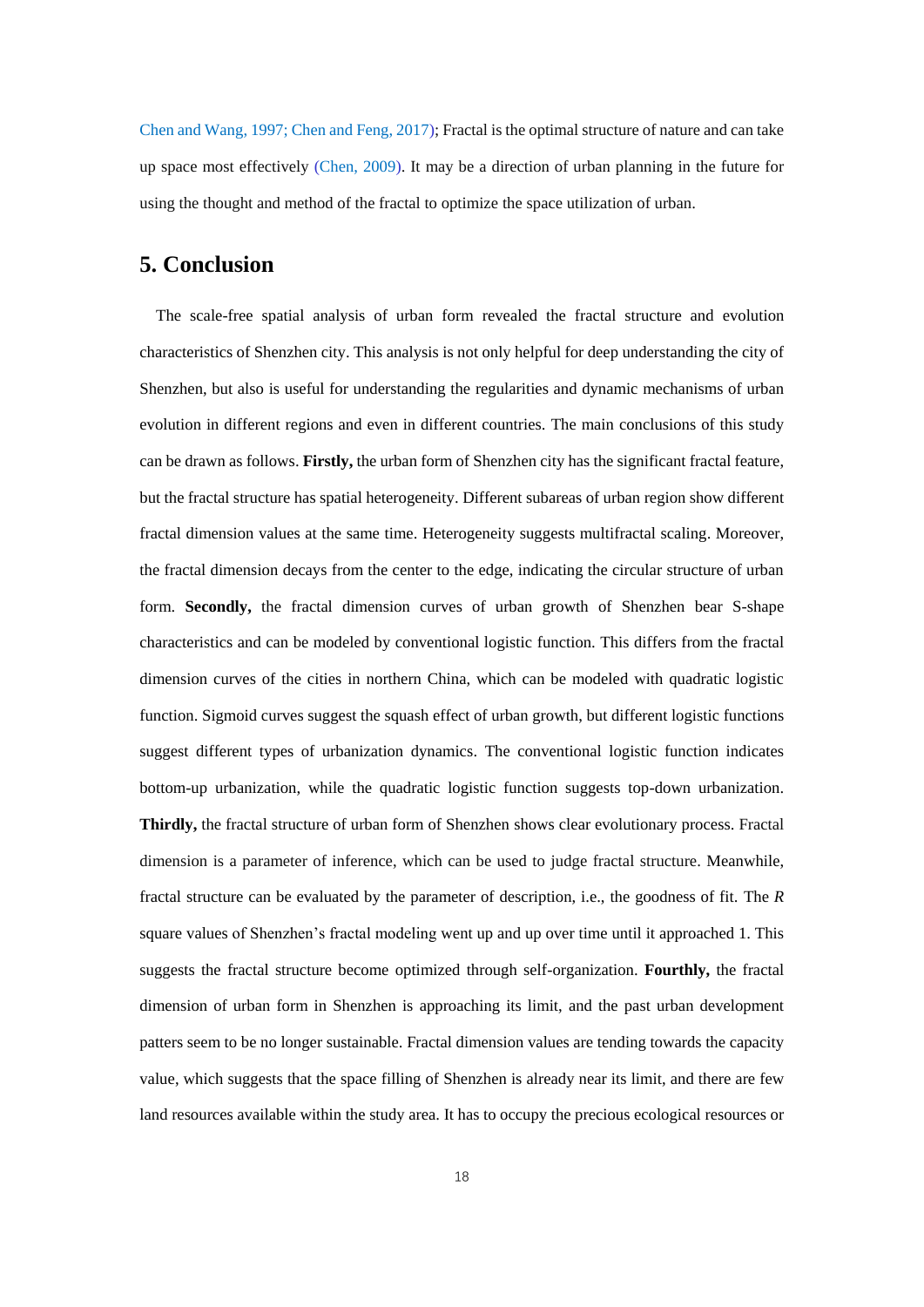Chen and Wang, 1997; Chen and Feng, 2017); Fractal is the optimal structure of nature and can take up space most effectively (Chen, 2009). It may be a direction of urban planning in the future for using the thought and method of the fractal to optimize the space utilization of urban.

#### **5. Conclusion**

The scale-free spatial analysis of urban form revealed the fractal structure and evolution characteristics of Shenzhen city. This analysis is not only helpful for deep understanding the city of Shenzhen, but also is useful for understanding the regularities and dynamic mechanisms of urban evolution in different regions and even in different countries. The main conclusions of this study can be drawn as follows. **Firstly,** the urban form of Shenzhen city has the significant fractal feature, but the fractal structure has spatial heterogeneity. Different subareas of urban region show different fractal dimension values at the same time. Heterogeneity suggests multifractal scaling. Moreover, the fractal dimension decays from the center to the edge, indicating the circular structure of urban form. **Secondly,** the fractal dimension curves of urban growth of Shenzhen bear S-shape characteristics and can be modeled by conventional logistic function. This differs from the fractal dimension curves of the cities in northern China, which can be modeled with quadratic logistic function. Sigmoid curves suggest the squash effect of urban growth, but different logistic functions suggest different types of urbanization dynamics. The conventional logistic function indicates bottom-up urbanization, while the quadratic logistic function suggests top-down urbanization. **Thirdly,** the fractal structure of urban form of Shenzhen shows clear evolutionary process. Fractal dimension is a parameter of inference, which can be used to judge fractal structure. Meanwhile, fractal structure can be evaluated by the parameter of description, i.e., the goodness of fit. The *R* square values of Shenzhen's fractal modeling went up and up over time until it approached 1. This suggests the fractal structure become optimized through self-organization. **Fourthly,** the fractal dimension of urban form in Shenzhen is approaching its limit, and the past urban development patters seem to be no longer sustainable. Fractal dimension values are tending towards the capacity value, which suggests that the space filling of Shenzhen is already near its limit, and there are few land resources available within the study area. It has to occupy the precious ecological resources or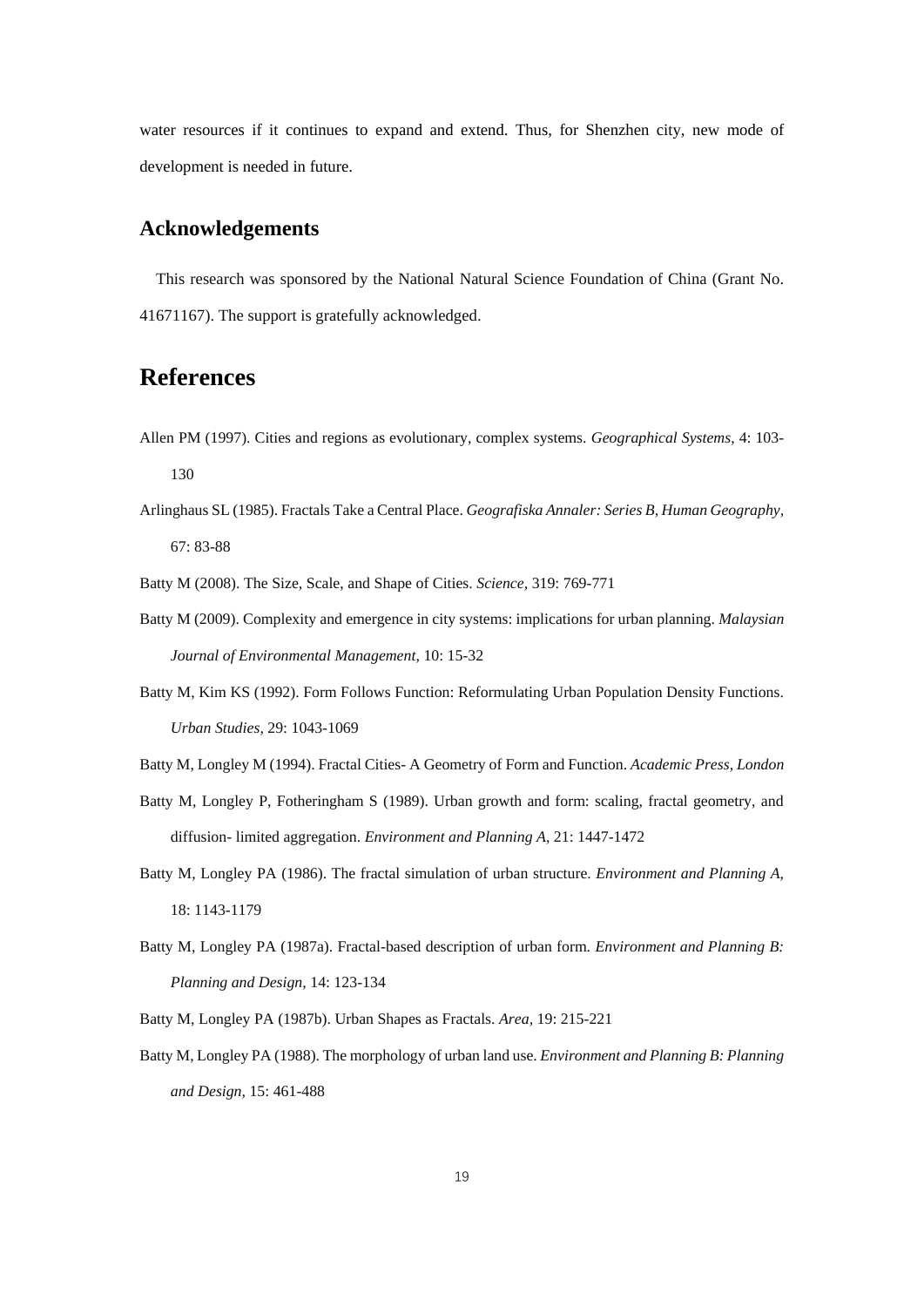water resources if it continues to expand and extend. Thus, for Shenzhen city, new mode of development is needed in future.

#### **Acknowledgements**

This research was sponsored by the National Natural Science Foundation of China (Grant No. 41671167). The support is gratefully acknowledged.

## **References**

- Allen PM (1997). Cities and regions as evolutionary, complex systems. *Geographical Systems*, 4: 103- 130
- Arlinghaus SL (1985). Fractals Take a Central Place. *Geografiska Annaler: Series B, Human Geography,* 67: 83-88

Batty M (2008). The Size, Scale, and Shape of Cities. *Science,* 319: 769-771

- Batty M (2009). Complexity and emergence in city systems: implications for urban planning. *Malaysian Journal of Environmental Management,* 10: 15-32
- Batty M, Kim KS (1992). Form Follows Function: Reformulating Urban Population Density Functions. *Urban Studies,* 29: 1043-1069
- Batty M, Longley M (1994). Fractal Cities- A Geometry of Form and Function. *Academic Press, London*
- Batty M, Longley P, Fotheringham S (1989). Urban growth and form: scaling, fractal geometry, and diffusion- limited aggregation. *Environment and Planning A,* 21: 1447-1472
- Batty M, Longley PA (1986). The fractal simulation of urban structure. *Environment and Planning A,* 18: 1143-1179
- Batty M, Longley PA (1987a). Fractal-based description of urban form. *Environment and Planning B: Planning and Design,* 14: 123-134
- Batty M, Longley PA (1987b). Urban Shapes as Fractals. *Area,* 19: 215-221
- Batty M, Longley PA (1988). The morphology of urban land use. *Environment and Planning B: Planning and Design,* 15: 461-488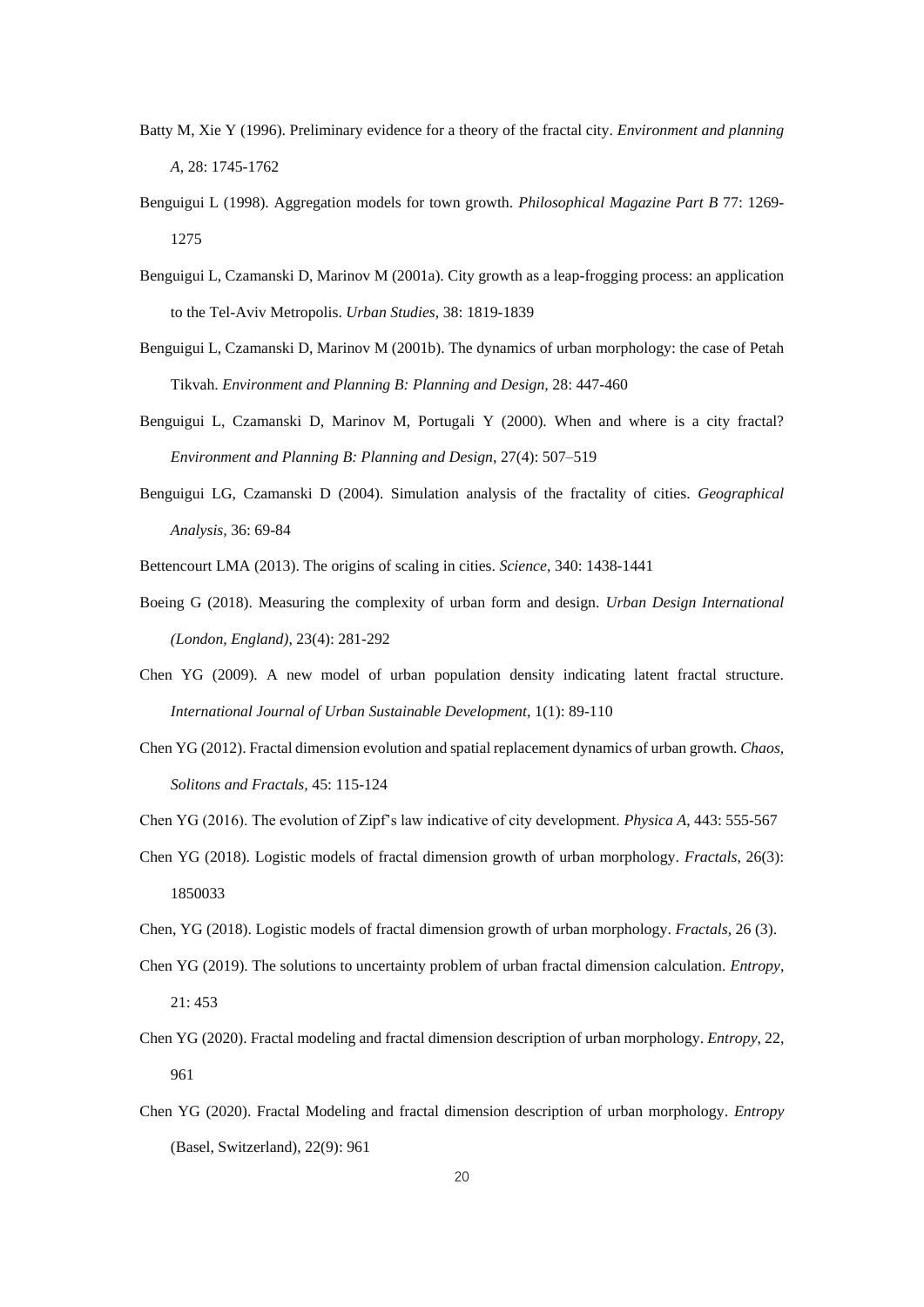- Batty M, Xie Y (1996). Preliminary evidence for a theory of the fractal city. *Environment and planning A,* 28: 1745-1762
- Benguigui L (1998). Aggregation models for town growth. *Philosophical Magazine Part B* 77: 1269- 1275
- Benguigui L, Czamanski D, Marinov M (2001a). City growth as a leap-frogging process: an application to the Tel-Aviv Metropolis. *Urban Studies,* 38: 1819-1839
- Benguigui L, Czamanski D, Marinov M (2001b). The dynamics of urban morphology: the case of Petah Tikvah. *Environment and Planning B: Planning and Design,* 28: 447-460
- Benguigui L, Czamanski D, Marinov M, Portugali Y (2000). When and where is a city fractal? *Environment and Planning B: Planning and Design*, 27(4): 507–519
- Benguigui LG, Czamanski D (2004). Simulation analysis of the fractality of cities. *Geographical Analysis,* 36: 69-84
- Bettencourt LMA (2013). The origins of scaling in cities. *Science*, 340: 1438-1441
- Boeing G (2018). Measuring the complexity of urban form and design. *Urban Design International (London, England)*, 23(4): 281-292
- Chen YG (2009). A new model of urban population density indicating latent fractal structure. *International Journal of Urban Sustainable Development*, 1(1): 89-110
- Chen YG (2012). Fractal dimension evolution and spatial replacement dynamics of urban growth. *Chaos, Solitons and Fractals,* 45: 115-124
- Chen YG (2016). The evolution of Zipf's law indicative of city development. *Physica A*, 443: 555-567
- Chen YG (2018). Logistic models of fractal dimension growth of urban morphology. *Fractals*, 26(3): 1850033
- Chen, YG (2018). Logistic models of fractal dimension growth of urban morphology. *Fractals,* 26 (3).
- Chen YG (2019). The solutions to uncertainty problem of urban fractal dimension calculation. *Entropy*, 21: 453
- Chen YG (2020). Fractal modeling and fractal dimension description of urban morphology. *Entropy*, 22, 961
- Chen YG (2020). Fractal Modeling and fractal dimension description of urban morphology. *Entropy* (Basel, Switzerland), 22(9): 961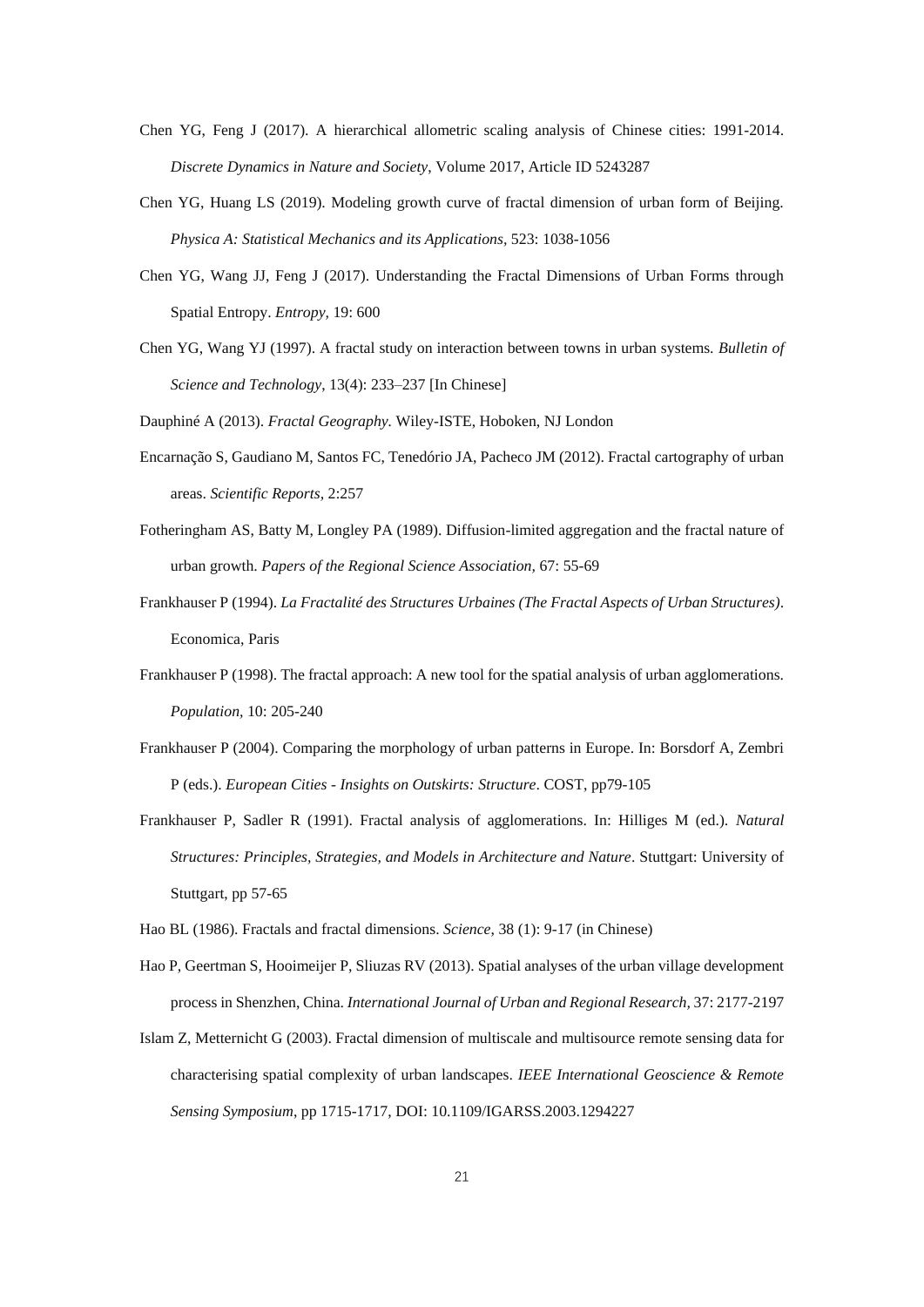- Chen YG, Feng J (2017). A hierarchical allometric scaling analysis of Chinese cities: 1991-2014. *Discrete Dynamics in Nature and Society*, Volume 2017, Article ID 5243287
- Chen YG, Huang LS (2019). Modeling growth curve of fractal dimension of urban form of Beijing. *Physica A: Statistical Mechanics and its Applications,* 523: 1038-1056
- Chen YG, Wang JJ, Feng J (2017). Understanding the Fractal Dimensions of Urban Forms through Spatial Entropy. *Entropy,* 19: 600
- Chen YG, Wang YJ (1997). A fractal study on interaction between towns in urban systems. *Bulletin of Science and Technology*, 13(4): 233–237 [In Chinese]

Dauphiné A (2013). *Fractal Geography.* Wiley-ISTE, Hoboken, NJ London

- Encarnação S, Gaudiano M, Santos FC, Tenedório JA, Pacheco JM (2012). Fractal cartography of urban areas. *Scientific Reports,* 2:257
- Fotheringham AS, Batty M, Longley PA (1989). Diffusion-limited aggregation and the fractal nature of urban growth. *Papers of the Regional Science Association,* 67: 55-69
- Frankhauser P (1994). *La Fractalité des Structures Urbaines (The Fractal Aspects of Urban Structures)*. Economica, Paris
- Frankhauser P (1998). The fractal approach: A new tool for the spatial analysis of urban agglomerations. *Population,* 10: 205-240
- Frankhauser P (2004). Comparing the morphology of urban patterns in Europe. In: Borsdorf A, Zembri P (eds.). *European Cities - Insights on Outskirts: Structure*. COST, pp79-105
- Frankhauser P, Sadler R (1991). Fractal analysis of agglomerations. In: Hilliges M (ed.). *Natural Structures: Principles, Strategies, and Models in Architecture and Nature*. Stuttgart: University of Stuttgart, pp 57-65
- Hao BL (1986). Fractals and fractal dimensions. *Science*, 38 (1): 9-17 (in Chinese)
- Hao P, Geertman S, Hooimeijer P, Sliuzas RV (2013). Spatial analyses of the urban village development process in Shenzhen, China. *International Journal of Urban and Regional Research,* 37: 2177-2197
- Islam Z, Metternicht G (2003). Fractal dimension of multiscale and multisource remote sensing data for characterising spatial complexity of urban landscapes. *IEEE International Geoscience & Remote Sensing Symposium*, pp 1715-1717, DOI: 10.1109/IGARSS.2003.1294227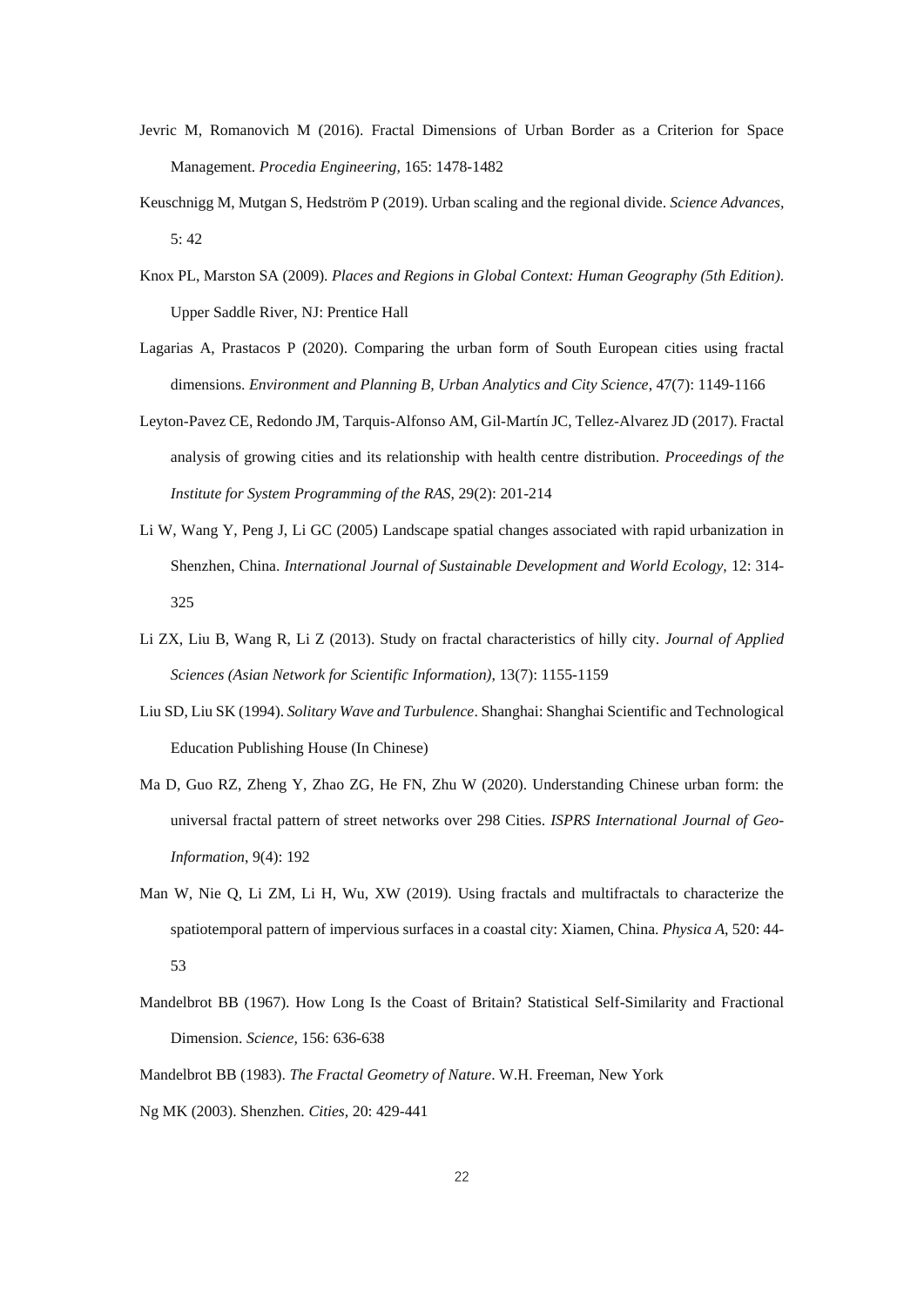- Jevric M, Romanovich M (2016). Fractal Dimensions of Urban Border as a Criterion for Space Management. *Procedia Engineering,* 165: 1478-1482
- Keuschnigg M, Mutgan S, Hedström P (2019). Urban scaling and the regional divide. *Science Advances,* 5: 42
- Knox PL, Marston SA (2009). *Places and Regions in Global Context: Human Geography (5th Edition)*. Upper Saddle River, NJ: Prentice Hall
- Lagarias A, Prastacos P (2020). Comparing the urban form of South European cities using fractal dimensions. *Environment and Planning B, Urban Analytics and City Science*, 47(7): 1149-1166
- Leyton-Pavez CE, Redondo JM, Tarquis-Alfonso AM, Gil-Mart *fi JC*, Tellez-Alvarez JD (2017). Fractal analysis of growing cities and its relationship with health centre distribution. *Proceedings of the Institute for System Programming of the RAS*, 29(2): 201-214
- Li W, Wang Y, Peng J, Li GC (2005) Landscape spatial changes associated with rapid urbanization in Shenzhen, China. *International Journal of Sustainable Development and World Ecology,* 12: 314- 325
- Li ZX, Liu B, Wang R, Li Z (2013). Study on fractal characteristics of hilly city. *Journal of Applied Sciences (Asian Network for Scientific Information)*, 13(7): 1155-1159
- Liu SD, Liu SK (1994). *Solitary Wave and Turbulence*. Shanghai: Shanghai Scientific and Technological Education Publishing House (In Chinese)
- Ma D, Guo RZ, Zheng Y, Zhao ZG, He FN, Zhu W (2020). Understanding Chinese urban form: the universal fractal pattern of street networks over 298 Cities. *ISPRS International Journal of Geo-Information*, 9(4): 192
- Man W, Nie Q, Li ZM, Li H, Wu, XW (2019). Using fractals and multifractals to characterize the spatiotemporal pattern of impervious surfaces in a coastal city: Xiamen, China. *Physica A*, 520: 44- 53
- Mandelbrot BB (1967). How Long Is the Coast of Britain? Statistical Self-Similarity and Fractional Dimension. *Science,* 156: 636-638
- Mandelbrot BB (1983). *The Fractal Geometry of Nature*. W.H. Freeman, New York Ng MK (2003). Shenzhen. *Cities,* 20: 429-441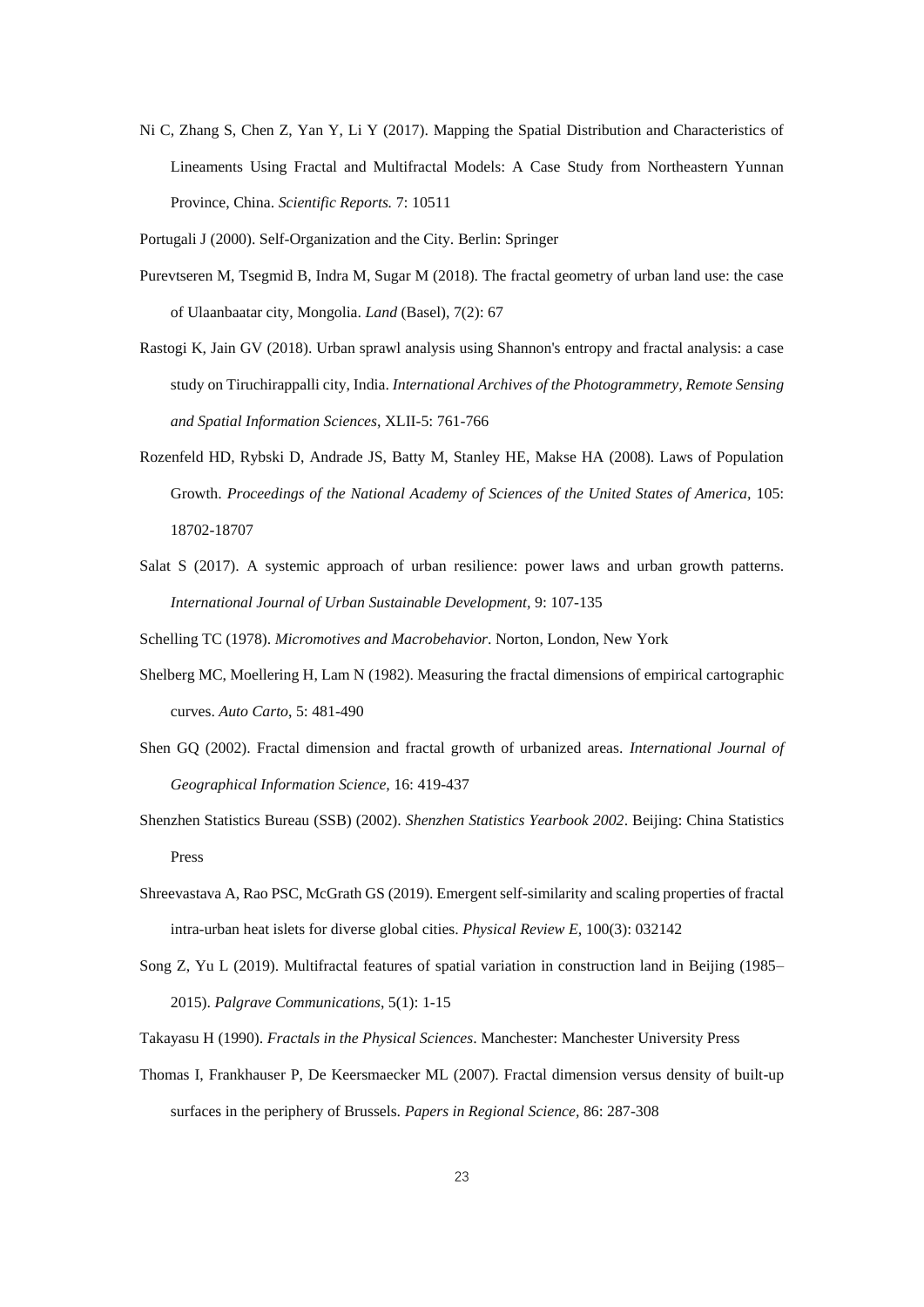Ni C, Zhang S, Chen Z, Yan Y, Li Y (2017). Mapping the Spatial Distribution and Characteristics of Lineaments Using Fractal and Multifractal Models: A Case Study from Northeastern Yunnan Province, China. *Scientific Reports.* 7: 10511

Portugali J (2000). Self-Organization and the City. Berlin: Springer

- Purevtseren M, Tsegmid B, Indra M, Sugar M (2018). The fractal geometry of urban land use: the case of Ulaanbaatar city, Mongolia. *Land* (Basel), 7(2): 67
- Rastogi K, Jain GV (2018). Urban sprawl analysis using Shannon's entropy and fractal analysis: a case study on Tiruchirappalli city, India. *International Archives of the Photogrammetry, Remote Sensing and Spatial Information Sciences*, XLII-5: 761-766
- Rozenfeld HD, Rybski D, Andrade JS, Batty M, Stanley HE, Makse HA (2008). Laws of Population Growth. *Proceedings of the National Academy of Sciences of the United States of America,* 105: 18702-18707
- Salat S (2017). A systemic approach of urban resilience: power laws and urban growth patterns. *International Journal of Urban Sustainable Development,* 9: 107-135

Schelling TC (1978). *Micromotives and Macrobehavior*. Norton, London, New York

- Shelberg MC, Moellering H, Lam N (1982). Measuring the fractal dimensions of empirical cartographic curves. *Auto Carto*, 5: 481-490
- Shen GQ (2002). Fractal dimension and fractal growth of urbanized areas. *International Journal of Geographical Information Science,* 16: 419-437
- Shenzhen Statistics Bureau (SSB) (2002). *Shenzhen Statistics Yearbook 2002*. Beijing: China Statistics Press
- Shreevastava A, Rao PSC, McGrath GS (2019). Emergent self-similarity and scaling properties of fractal intra-urban heat islets for diverse global cities. *Physical Review E*, 100(3): 032142
- Song Z, Yu L (2019). Multifractal features of spatial variation in construction land in Beijing (1985– 2015). *Palgrave Communications*, 5(1): 1-15
- Takayasu H (1990). *Fractals in the Physical Sciences*. Manchester: Manchester University Press
- Thomas I, Frankhauser P, De Keersmaecker ML (2007). Fractal dimension versus density of built-up surfaces in the periphery of Brussels. *Papers in Regional Science,* 86: 287-308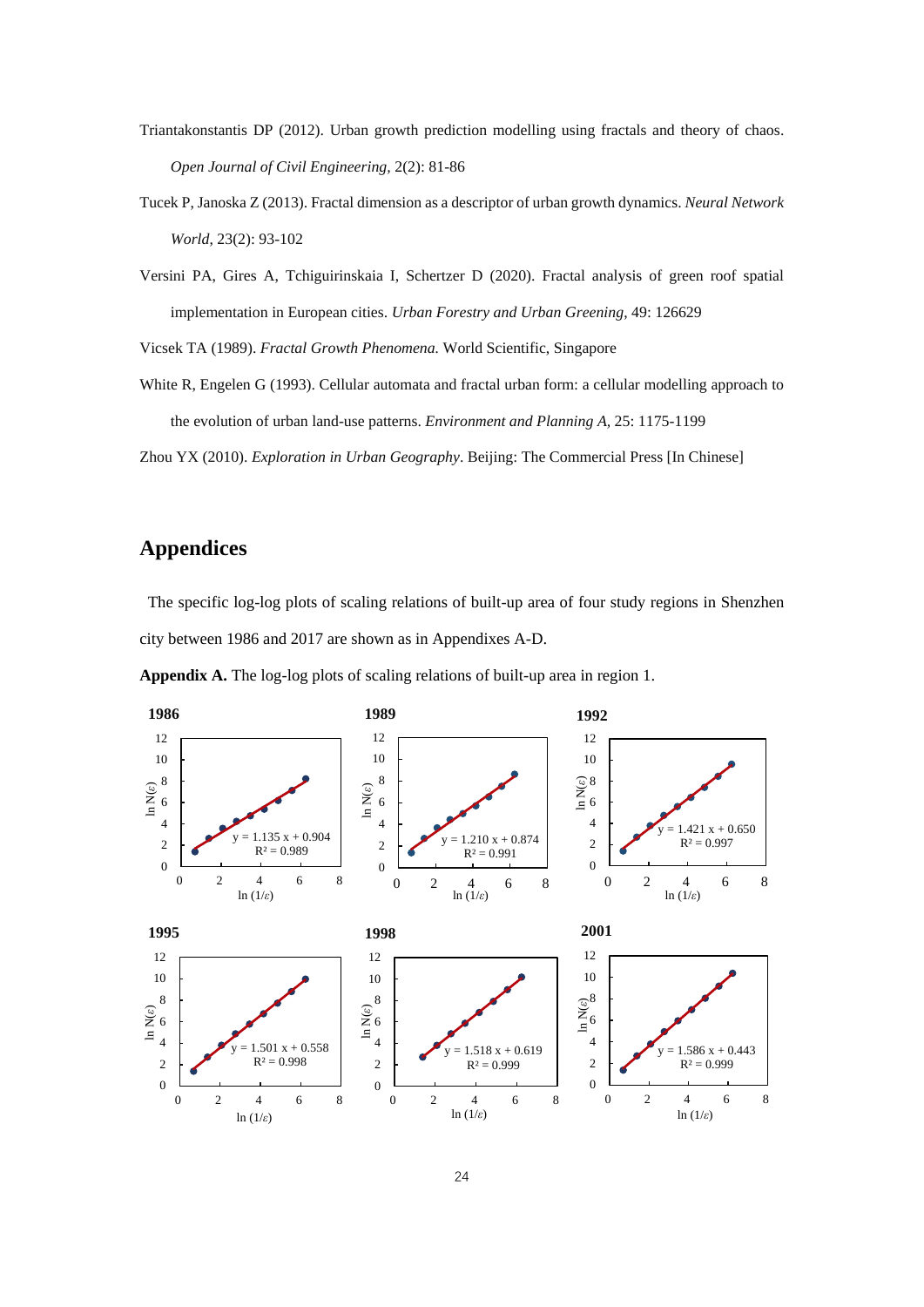- Triantakonstantis DP (2012). Urban growth prediction modelling using fractals and theory of chaos. *Open Journal of Civil Engineering,* 2(2): 81-86
- Tucek P, Janoska Z (2013). Fractal dimension as a descriptor of urban growth dynamics. *Neural Network World*, 23(2): 93-102
- Versini PA, Gires A, Tchiguirinskaia I, Schertzer D (2020). Fractal analysis of green roof spatial implementation in European cities. *Urban Forestry and Urban Greening*, 49: 126629

Vicsek TA (1989). *Fractal Growth Phenomena.* World Scientific, Singapore

White R, Engelen G (1993). Cellular automata and fractal urban form: a cellular modelling approach to the evolution of urban land-use patterns. *Environment and Planning A,* 25: 1175-1199

Zhou YX (2010). *Exploration in Urban Geography*. Beijing: The Commercial Press [In Chinese]

#### **Appendices**

The specific log-log plots of scaling relations of built-up area of four study regions in Shenzhen city between 1986 and 2017 are shown as in Appendixes A-D.

**Appendix A.** The log-log plots of scaling relations of built-up area in region 1.

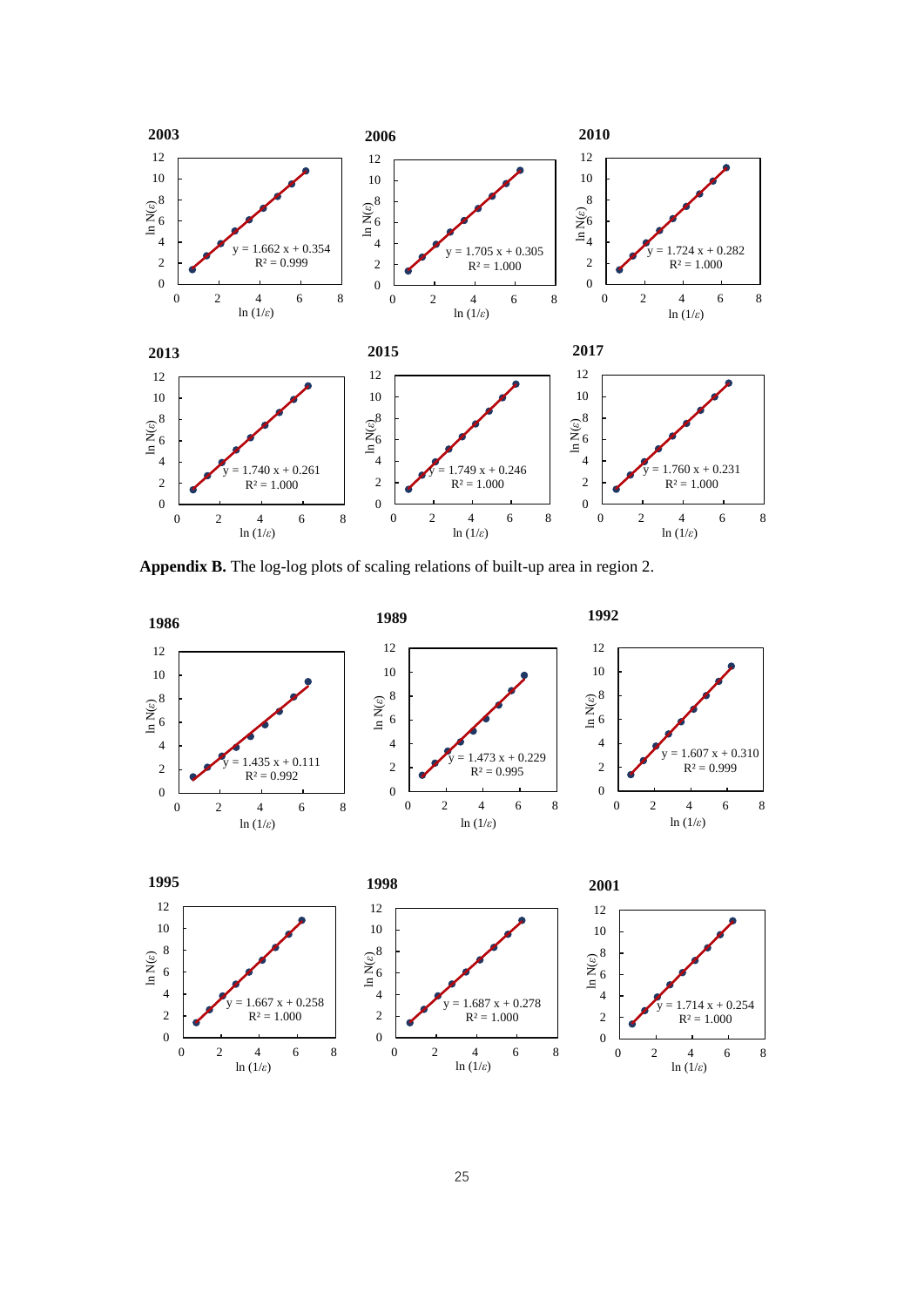

**Appendix B.** The log-log plots of scaling relations of built-up area in region 2.

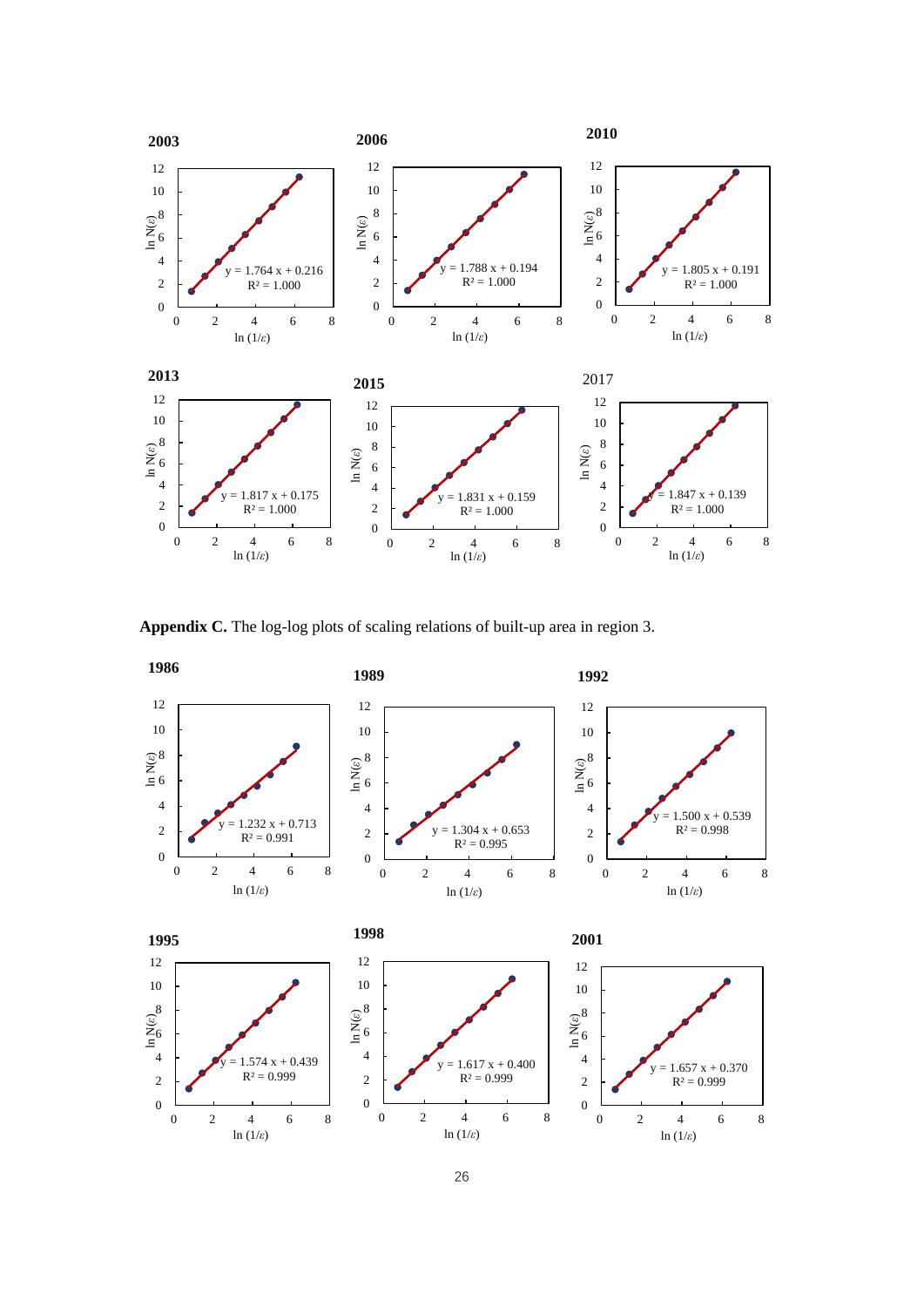

**Appendix C.** The log-log plots of scaling relations of built-up area in region 3.

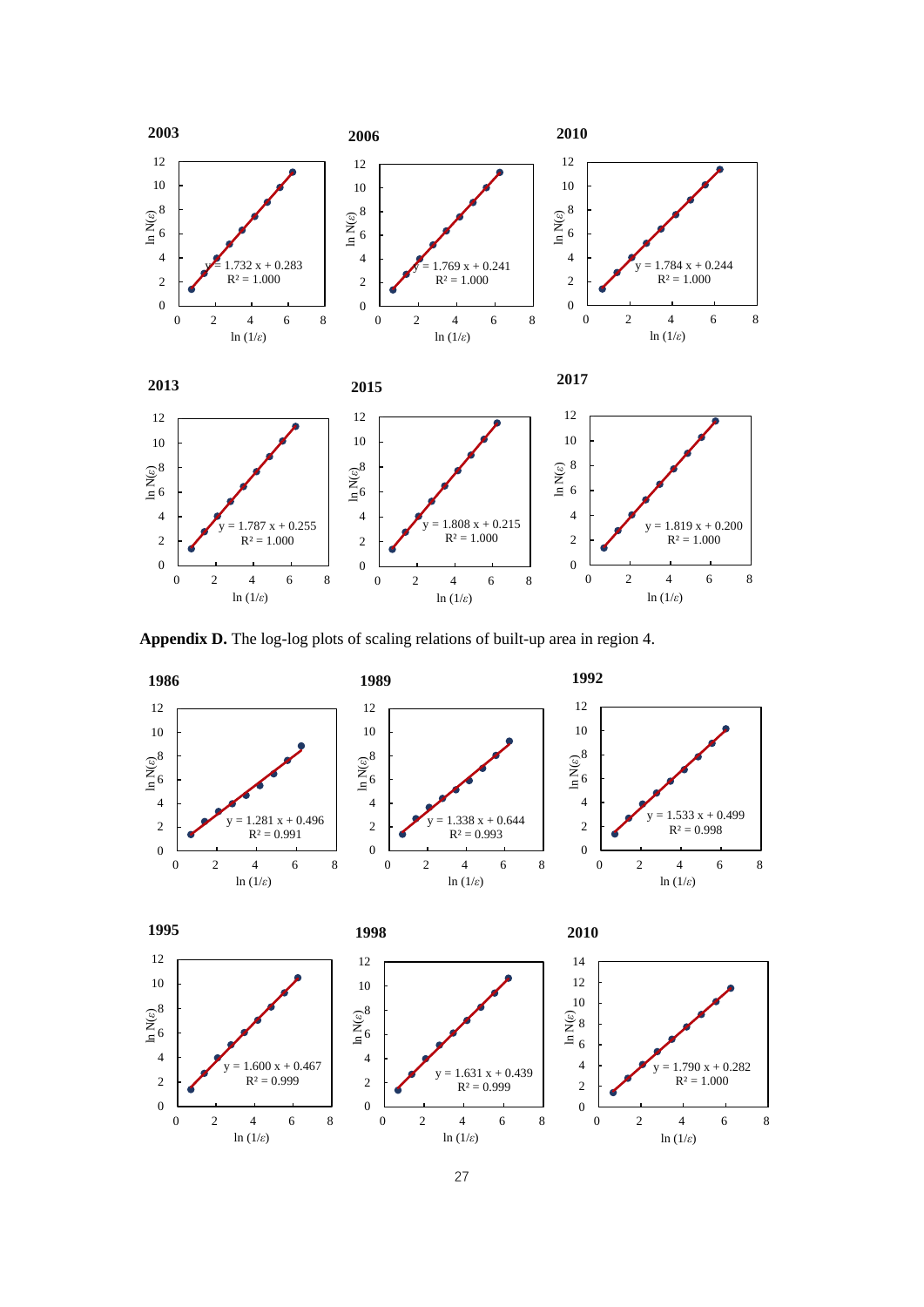

**Appendix D.** The log-log plots of scaling relations of built-up area in region 4.